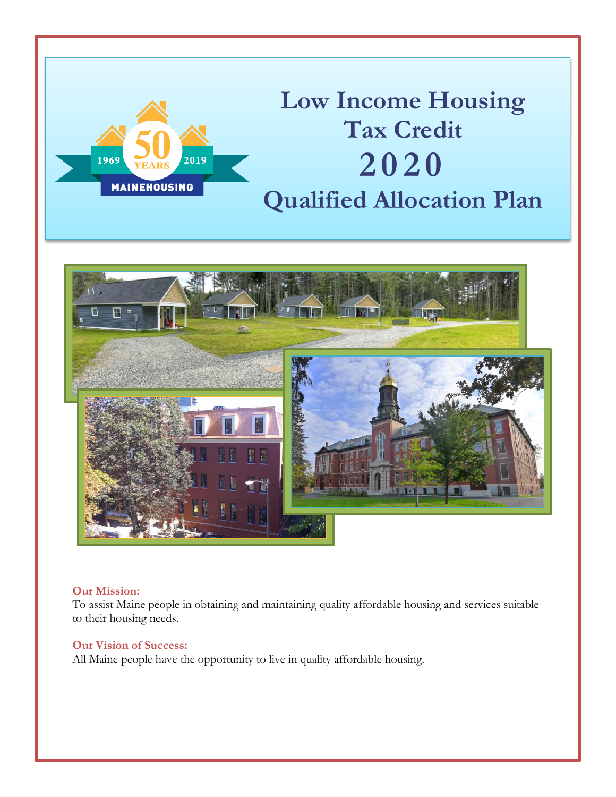

# **Low Income Housing Tax Credit 2020 Qualified Allocation Plan**



### **Our Mission:**

To assist Maine people in obtaining and maintaining quality affordable housing and services suitable to their housing needs.

### **Our Vision of Success:**

All Maine people have the opportunity to live in quality affordable housing.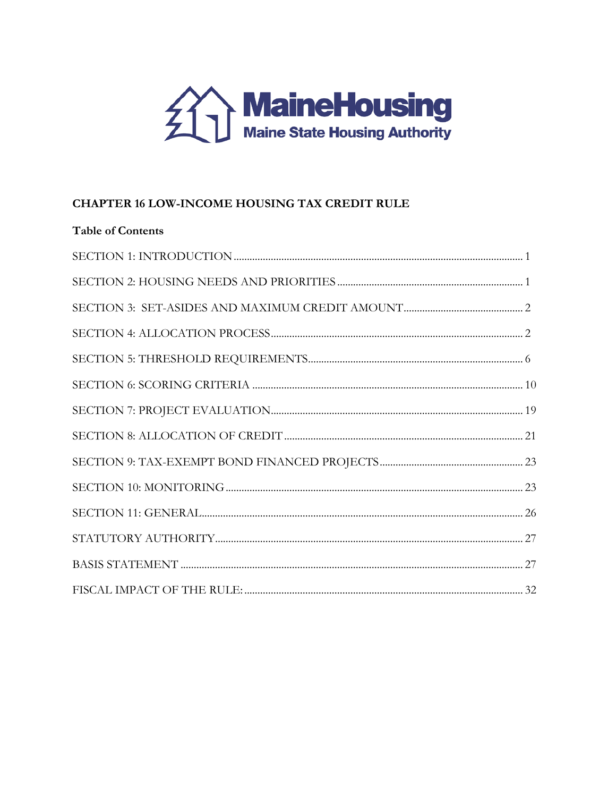

# **CHAPTER 16 LOW-INCOME HOUSING TAX CREDIT RULE**

| <b>Table of Contents</b> |  |
|--------------------------|--|
|                          |  |
|                          |  |
|                          |  |
|                          |  |
|                          |  |
|                          |  |
|                          |  |
|                          |  |
|                          |  |
|                          |  |
|                          |  |
|                          |  |
|                          |  |
|                          |  |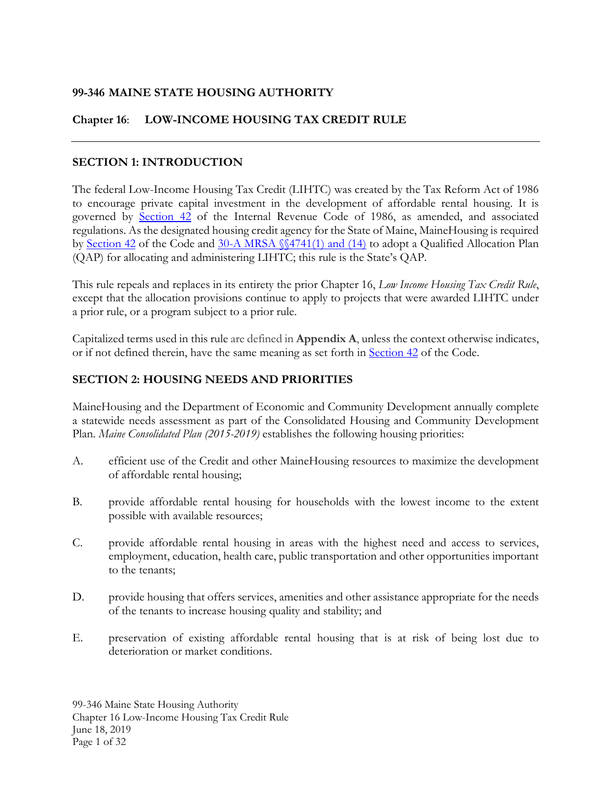# **99-346 MAINE STATE HOUSING AUTHORITY**

### **Chapter 16**: **LOW-INCOME HOUSING TAX CREDIT RULE**

### <span id="page-2-0"></span>**SECTION 1: INTRODUCTION**

The federal Low-Income Housing Tax Credit (LIHTC) was created by the Tax Reform Act of 1986 to encourage private capital investment in the development of affordable rental housing. It is governed by [Section 42](https://www.law.cornell.edu/uscode/text/26/42) of the Internal Revenue Code of 1986, as amended, and associated regulations. As the designated housing credit agency for the State of Maine, MaineHousing is required by [Section 42](https://www.law.cornell.edu/uscode/text/26/42) of the Code and [30-A MRSA §§4741\(1\) and \(14\)](http://legislature.maine.gov/statutes/30-A/title30-Asec4741.html) to adopt a Qualified Allocation Plan (QAP) for allocating and administering LIHTC; this rule is the State's QAP.

This rule repeals and replaces in its entirety the prior Chapter 16, *Low Income Housing Tax Credit Rule*, except that the allocation provisions continue to apply to projects that were awarded LIHTC under a prior rule, or a program subject to a prior rule.

Capitalized terms used in this rule are defined in **Appendix A**, unless the context otherwise indicates, or if not defined therein, have the same meaning as set forth in [Section 42](https://www.law.cornell.edu/uscode/text/26/42) of the Code.

### <span id="page-2-1"></span>**SECTION 2: HOUSING NEEDS AND PRIORITIES**

MaineHousing and the Department of Economic and Community Development annually complete a statewide needs assessment as part of the Consolidated Housing and Community Development Plan. *Maine Consolidated Plan (2015-2019)* establishes the following housing priorities:

- A. efficient use of the Credit and other MaineHousing resources to maximize the development of affordable rental housing;
- B. provide affordable rental housing for households with the lowest income to the extent possible with available resources;
- C. provide affordable rental housing in areas with the highest need and access to services, employment, education, health care, public transportation and other opportunities important to the tenants;
- D. provide housing that offers services, amenities and other assistance appropriate for the needs of the tenants to increase housing quality and stability; and
- E. preservation of existing affordable rental housing that is at risk of being lost due to deterioration or market conditions.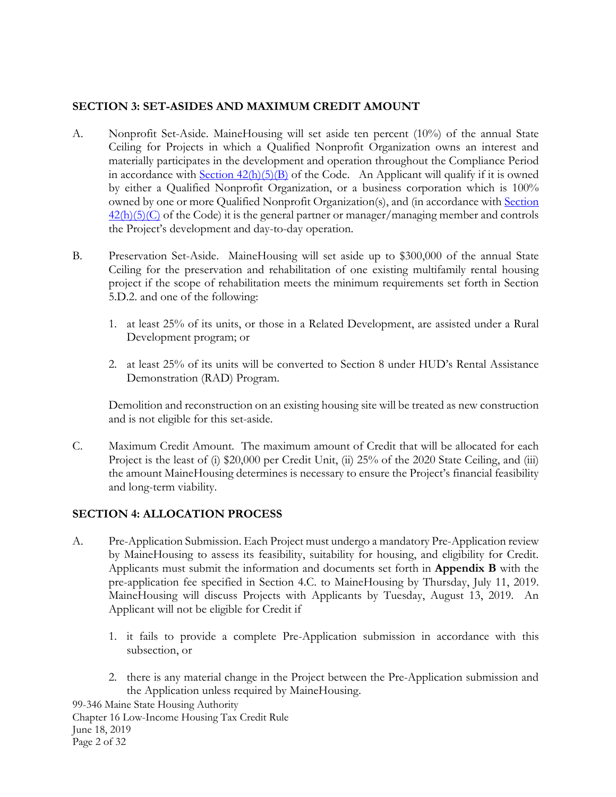# <span id="page-3-0"></span>**SECTION 3: SET-ASIDES AND MAXIMUM CREDIT AMOUNT**

- A. Nonprofit Set-Aside. MaineHousing will set aside ten percent (10%) of the annual State Ceiling for Projects in which a Qualified Nonprofit Organization owns an interest and materially participates in the development and operation throughout the Compliance Period in accordance with  $Section 42(h)(5)(B)$  of the Code. An Applicant will qualify if it is owned by either a Qualified Nonprofit Organization, or a business corporation which is 100% owned by one or more Qualified Nonprofit Organization(s), and (in accordance with Section  $42(h)(5)(C)$  of the Code) it is the general partner or manager/managing member and controls the Project's development and day-to-day operation.
- B. Preservation Set-Aside. MaineHousing will set aside up to \$300,000 of the annual State Ceiling for the preservation and rehabilitation of one existing multifamily rental housing project if the scope of rehabilitation meets the minimum requirements set forth in Section 5.D.2. and one of the following:
	- 1. at least 25% of its units, or those in a Related Development, are assisted under a Rural Development program; or
	- 2. at least 25% of its units will be converted to Section 8 under HUD's Rental Assistance Demonstration (RAD) Program.

Demolition and reconstruction on an existing housing site will be treated as new construction and is not eligible for this set-aside.

C. Maximum Credit Amount.The maximum amount of Credit that will be allocated for each Project is the least of (i) \$20,000 per Credit Unit, (ii) 25% of the 2020 State Ceiling, and (iii) the amount MaineHousing determines is necessary to ensure the Project's financial feasibility and long-term viability.

### <span id="page-3-1"></span>**SECTION 4: ALLOCATION PROCESS**

- A. Pre-Application Submission. Each Project must undergo a mandatory Pre-Application review by MaineHousing to assess its feasibility, suitability for housing, and eligibility for Credit. Applicants must submit the information and documents set forth in **Appendix B** with the pre-application fee specified in Section 4.C. to MaineHousing by Thursday, July 11, 2019. MaineHousing will discuss Projects with Applicants by Tuesday, August 13, 2019. An Applicant will not be eligible for Credit if
	- 1. it fails to provide a complete Pre-Application submission in accordance with this subsection, or
	- 2. there is any material change in the Project between the Pre-Application submission and the Application unless required by MaineHousing.

99-346 Maine State Housing Authority Chapter 16 Low-Income Housing Tax Credit Rule June 18, 2019 Page 2 of 32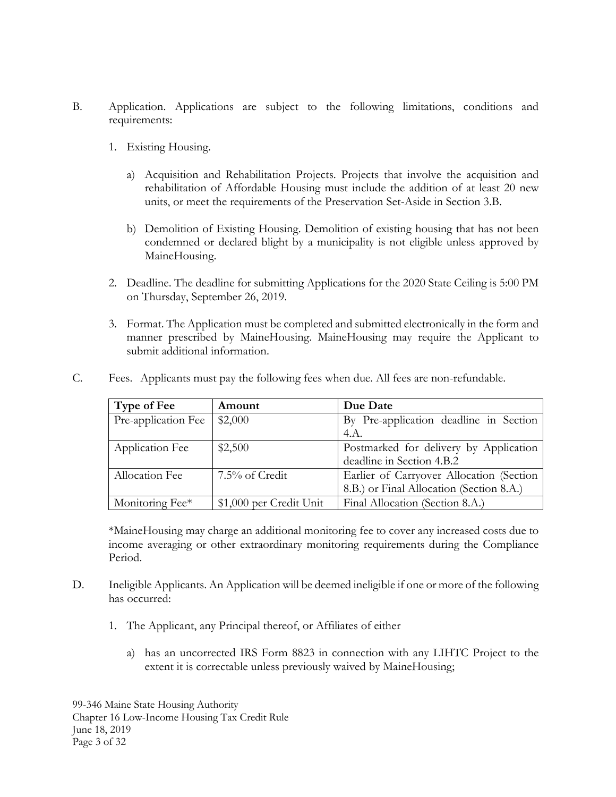- B. Application. Applications are subject to the following limitations, conditions and requirements:
	- 1. Existing Housing.
		- a) Acquisition and Rehabilitation Projects. Projects that involve the acquisition and rehabilitation of Affordable Housing must include the addition of at least 20 new units, or meet the requirements of the Preservation Set-Aside in Section 3.B.
		- b) Demolition of Existing Housing. Demolition of existing housing that has not been condemned or declared blight by a municipality is not eligible unless approved by MaineHousing.
	- 2. Deadline. The deadline for submitting Applications for the 2020 State Ceiling is 5:00 PM on Thursday, September 26, 2019.
	- 3. Format. The Application must be completed and submitted electronically in the form and manner prescribed by MaineHousing. MaineHousing may require the Applicant to submit additional information.

| Type of Fee            | Amount                  | Due Date                                 |
|------------------------|-------------------------|------------------------------------------|
| Pre-application Fee    | \$2,000                 | By Pre-application deadline in Section   |
|                        |                         | 4.A.                                     |
| <b>Application Fee</b> | \$2,500                 | Postmarked for delivery by Application   |
|                        |                         | deadline in Section 4.B.2                |
| Allocation Fee         | 7.5% of Credit          | Earlier of Carryover Allocation (Section |
|                        |                         | 8.B.) or Final Allocation (Section 8.A.) |
| Monitoring Fee*        | \$1,000 per Credit Unit | Final Allocation (Section 8.A.)          |

C. Fees. Applicants must pay the following fees when due. All fees are non-refundable.

\*MaineHousing may charge an additional monitoring fee to cover any increased costs due to income averaging or other extraordinary monitoring requirements during the Compliance Period.

- D. Ineligible Applicants. An Application will be deemed ineligible if one or more of the following has occurred:
	- 1. The Applicant, any Principal thereof, or Affiliates of either
		- a) has an uncorrected IRS Form 8823 in connection with any LIHTC Project to the extent it is correctable unless previously waived by MaineHousing;

99-346 Maine State Housing Authority Chapter 16 Low-Income Housing Tax Credit Rule June 18, 2019 Page 3 of 32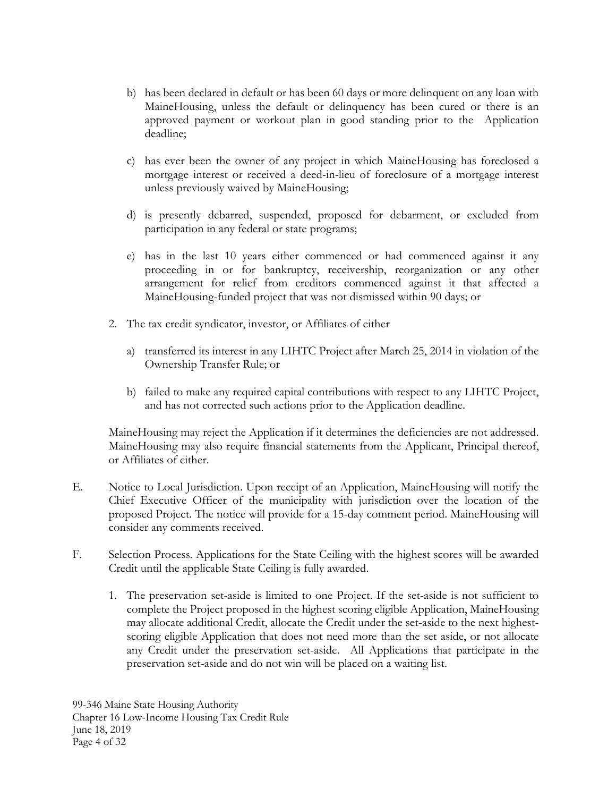- b) has been declared in default or has been 60 days or more delinquent on any loan with MaineHousing, unless the default or delinquency has been cured or there is an approved payment or workout plan in good standing prior to the Application deadline;
- c) has ever been the owner of any project in which MaineHousing has foreclosed a mortgage interest or received a deed-in-lieu of foreclosure of a mortgage interest unless previously waived by MaineHousing;
- d) is presently debarred, suspended, proposed for debarment, or excluded from participation in any federal or state programs;
- e) has in the last 10 years either commenced or had commenced against it any proceeding in or for bankruptcy, receivership, reorganization or any other arrangement for relief from creditors commenced against it that affected a MaineHousing-funded project that was not dismissed within 90 days; or
- 2. The tax credit syndicator, investor, or Affiliates of either
	- a) transferred its interest in any LIHTC Project after March 25, 2014 in violation of the Ownership Transfer Rule; or
	- b) failed to make any required capital contributions with respect to any LIHTC Project, and has not corrected such actions prior to the Application deadline.

MaineHousing may reject the Application if it determines the deficiencies are not addressed. MaineHousing may also require financial statements from the Applicant, Principal thereof, or Affiliates of either.

- E. Notice to Local Jurisdiction. Upon receipt of an Application, MaineHousing will notify the Chief Executive Officer of the municipality with jurisdiction over the location of the proposed Project. The notice will provide for a 15-day comment period. MaineHousing will consider any comments received.
- F. Selection Process. Applications for the State Ceiling with the highest scores will be awarded Credit until the applicable State Ceiling is fully awarded.
	- 1. The preservation set-aside is limited to one Project. If the set-aside is not sufficient to complete the Project proposed in the highest scoring eligible Application, MaineHousing may allocate additional Credit, allocate the Credit under the set-aside to the next highestscoring eligible Application that does not need more than the set aside, or not allocate any Credit under the preservation set-aside. All Applications that participate in the preservation set-aside and do not win will be placed on a waiting list.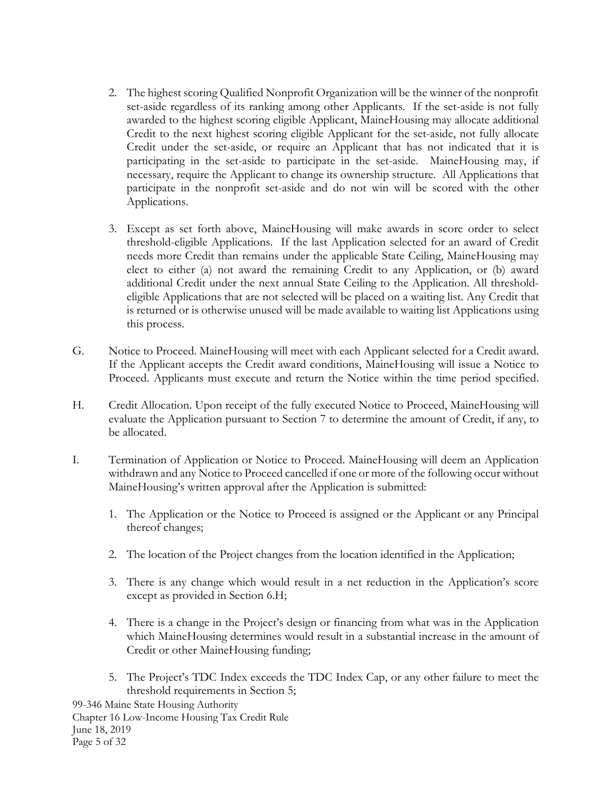- 2. The highest scoring Qualified Nonprofit Organization will be the winner of the nonprofit set-aside regardless of its ranking among other Applicants. If the set-aside is not fully awarded to the highest scoring eligible Applicant, MaineHousing may allocate additional Credit to the next highest scoring eligible Applicant for the set-aside, not fully allocate Credit under the set-aside, or require an Applicant that has not indicated that it is participating in the set-aside to participate in the set-aside. MaineHousing may, if necessary, require the Applicant to change its ownership structure. All Applications that participate in the nonprofit set-aside and do not win will be scored with the other Applications.
- 3. Except as set forth above, MaineHousing will make awards in score order to select threshold-eligible Applications. If the last Application selected for an award of Credit needs more Credit than remains under the applicable State Ceiling, MaineHousing may elect to either (a) not award the remaining Credit to any Application, or (b) award additional Credit under the next annual State Ceiling to the Application. All thresholdeligible Applications that are not selected will be placed on a waiting list. Any Credit that is returned or is otherwise unused will be made available to waiting list Applications using this process.
- G. Notice to Proceed. MaineHousing will meet with each Applicant selected for a Credit award. If the Applicant accepts the Credit award conditions, MaineHousing will issue a Notice to Proceed. Applicants must execute and return the Notice within the time period specified.
- H. Credit Allocation. Upon receipt of the fully executed Notice to Proceed, MaineHousing will evaluate the Application pursuant to Section 7 to determine the amount of Credit, if any, to be allocated.
- I. Termination of Application or Notice to Proceed. MaineHousing will deem an Application withdrawn and any Notice to Proceed cancelled if one or more of the following occur without MaineHousing's written approval after the Application is submitted:
	- 1. The Application or the Notice to Proceed is assigned or the Applicant or any Principal thereof changes;
	- 2. The location of the Project changes from the location identified in the Application;
	- 3. There is any change which would result in a net reduction in the Application's score except as provided in Section 6.H;
	- 4. There is a change in the Project's design or financing from what was in the Application which MaineHousing determines would result in a substantial increase in the amount of Credit or other MaineHousing funding;
	- 5. The Project's TDC Index exceeds the TDC Index Cap, or any other failure to meet the threshold requirements in Section 5;

99-346 Maine State Housing Authority Chapter 16 Low-Income Housing Tax Credit Rule June 18, 2019 Page 5 of 32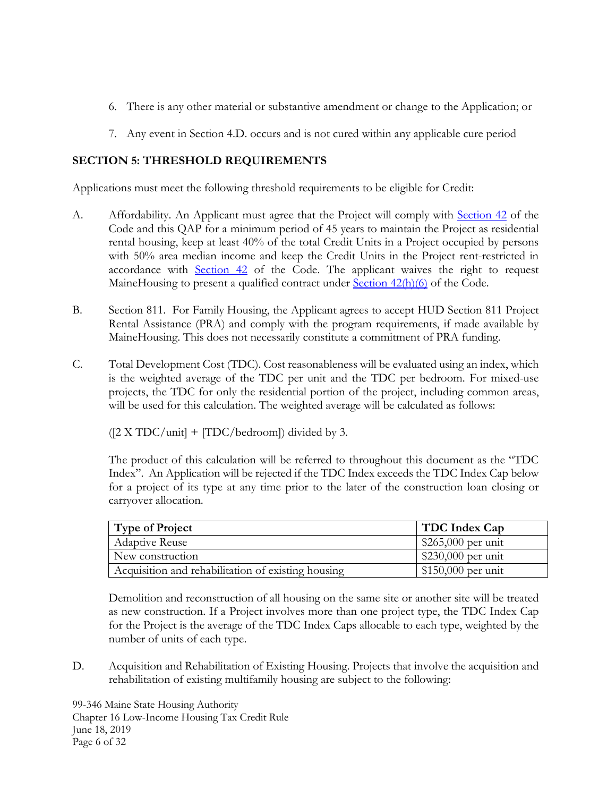- 6. There is any other material or substantive amendment or change to the Application; or
- 7. Any event in Section 4.D. occurs and is not cured within any applicable cure period

# <span id="page-7-0"></span>**SECTION 5: THRESHOLD REQUIREMENTS**

Applications must meet the following threshold requirements to be eligible for Credit:

- A. Affordability. An Applicant must agree that the Project will comply with [Section 42](https://www.law.cornell.edu/uscode/text/26/42) of the Code and this QAP for a minimum period of 45 years to maintain the Project as residential rental housing, keep at least 40% of the total Credit Units in a Project occupied by persons with 50% area median income and keep the Credit Units in the Project rent-restricted in accordance with [Section 42](https://www.law.cornell.edu/uscode/text/26/42) of the Code. The applicant waives the right to request MaineHousing to present a qualified contract under [Section 42\(h\)\(6\)](https://www.law.cornell.edu/uscode/text/26/42) of the Code.
- B. Section 811. For Family Housing, the Applicant agrees to accept HUD Section 811 Project Rental Assistance (PRA) and comply with the program requirements, if made available by MaineHousing. This does not necessarily constitute a commitment of PRA funding.
- C. Total Development Cost (TDC). Cost reasonableness will be evaluated using an index, which is the weighted average of the TDC per unit and the TDC per bedroom. For mixed-use projects, the TDC for only the residential portion of the project, including common areas, will be used for this calculation. The weighted average will be calculated as follows:

 $(2 \times TDC/unit]$  + [TDC/bedroom]) divided by 3.

The product of this calculation will be referred to throughout this document as the "TDC Index". An Application will be rejected if the TDC Index exceeds the TDC Index Cap below for a project of its type at any time prior to the later of the construction loan closing or carryover allocation.

| <b>Type of Project</b>                             | TDC Index Cap      |
|----------------------------------------------------|--------------------|
| <b>Adaptive Reuse</b>                              | \$265,000 per unit |
| New construction                                   | \$230,000 per unit |
| Acquisition and rehabilitation of existing housing | \$150,000 per unit |

Demolition and reconstruction of all housing on the same site or another site will be treated as new construction. If a Project involves more than one project type, the TDC Index Cap for the Project is the average of the TDC Index Caps allocable to each type, weighted by the number of units of each type.

D. Acquisition and Rehabilitation of Existing Housing. Projects that involve the acquisition and rehabilitation of existing multifamily housing are subject to the following:

99-346 Maine State Housing Authority Chapter 16 Low-Income Housing Tax Credit Rule June 18, 2019 Page 6 of 32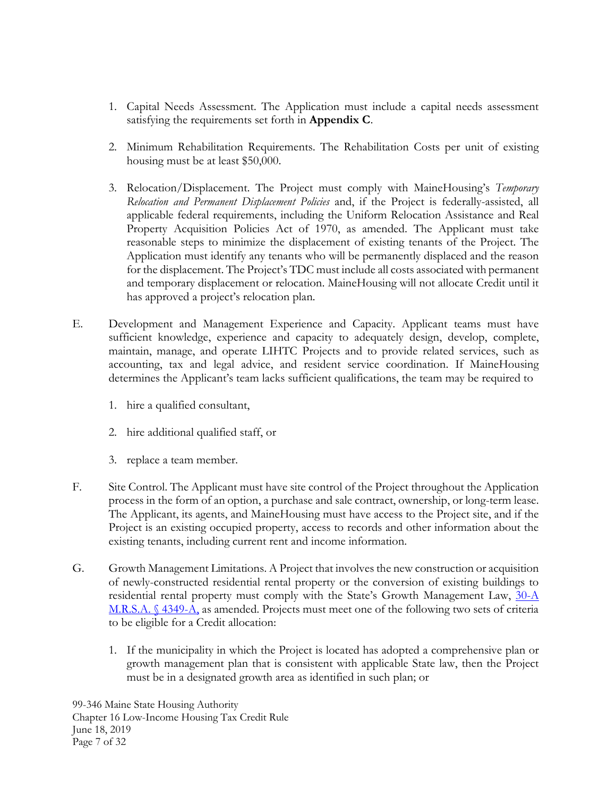- 1. Capital Needs Assessment. The Application must include a capital needs assessment satisfying the requirements set forth in **Appendix C**.
- 2. Minimum Rehabilitation Requirements. The Rehabilitation Costs per unit of existing housing must be at least \$50,000.
- 3. Relocation/Displacement. The Project must comply with MaineHousing's *Temporary Relocation and Permanent Displacement Policies* and, if the Project is federally-assisted, all applicable federal requirements, including the Uniform Relocation Assistance and Real Property Acquisition Policies Act of 1970, as amended. The Applicant must take reasonable steps to minimize the displacement of existing tenants of the Project. The Application must identify any tenants who will be permanently displaced and the reason for the displacement. The Project's TDC must include all costs associated with permanent and temporary displacement or relocation. MaineHousing will not allocate Credit until it has approved a project's relocation plan.
- E. Development and Management Experience and Capacity. Applicant teams must have sufficient knowledge, experience and capacity to adequately design, develop, complete, maintain, manage, and operate LIHTC Projects and to provide related services, such as accounting, tax and legal advice, and resident service coordination. If MaineHousing determines the Applicant's team lacks sufficient qualifications, the team may be required to
	- 1. hire a qualified consultant,
	- 2. hire additional qualified staff, or
	- 3. replace a team member.
- F. Site Control. The Applicant must have site control of the Project throughout the Application process in the form of an option, a purchase and sale contract, ownership, or long-term lease. The Applicant, its agents, and MaineHousing must have access to the Project site, and if the Project is an existing occupied property, access to records and other information about the existing tenants, including current rent and income information.
- G. Growth Management Limitations. A Project that involves the new construction or acquisition of newly-constructed residential rental property or the conversion of existing buildings to residential rental property must comply with the State's Growth Management Law, 30-A [M.R.S.A. § 4349-A,](http://www.mainelegislature.org/legis/statutes/30-A/title30-Asec4349-A.html) as amended. Projects must meet one of the following two sets of criteria to be eligible for a Credit allocation:
	- 1. If the municipality in which the Project is located has adopted a comprehensive plan or growth management plan that is consistent with applicable State law, then the Project must be in a designated growth area as identified in such plan; or

99-346 Maine State Housing Authority Chapter 16 Low-Income Housing Tax Credit Rule June 18, 2019 Page 7 of 32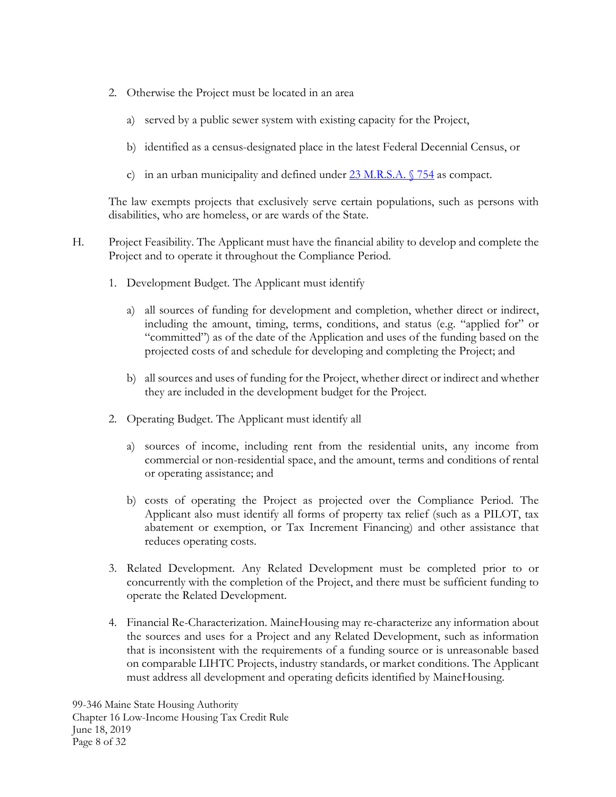- 2. Otherwise the Project must be located in an area
	- a) served by a public sewer system with existing capacity for the Project,
	- b) identified as a census-designated place in the latest Federal Decennial Census, or
	- c) in an urban municipality and defined under  $23$  M.R.S.A.  $\sqrt{754}$  as compact.

The law exempts projects that exclusively serve certain populations, such as persons with disabilities, who are homeless, or are wards of the State.

- H. Project Feasibility. The Applicant must have the financial ability to develop and complete the Project and to operate it throughout the Compliance Period.
	- 1. Development Budget. The Applicant must identify
		- a) all sources of funding for development and completion, whether direct or indirect, including the amount, timing, terms, conditions, and status (e.g. "applied for" or "committed") as of the date of the Application and uses of the funding based on the projected costs of and schedule for developing and completing the Project; and
		- b) all sources and uses of funding for the Project, whether direct or indirect and whether they are included in the development budget for the Project.
	- 2. Operating Budget. The Applicant must identify all
		- a) sources of income, including rent from the residential units, any income from commercial or non-residential space, and the amount, terms and conditions of rental or operating assistance; and
		- b) costs of operating the Project as projected over the Compliance Period. The Applicant also must identify all forms of property tax relief (such as a PILOT, tax abatement or exemption, or Tax Increment Financing) and other assistance that reduces operating costs.
	- 3. Related Development. Any Related Development must be completed prior to or concurrently with the completion of the Project, and there must be sufficient funding to operate the Related Development.
	- 4. Financial Re-Characterization. MaineHousing may re-characterize any information about the sources and uses for a Project and any Related Development, such as information that is inconsistent with the requirements of a funding source or is unreasonable based on comparable LIHTC Projects, industry standards, or market conditions. The Applicant must address all development and operating deficits identified by MaineHousing.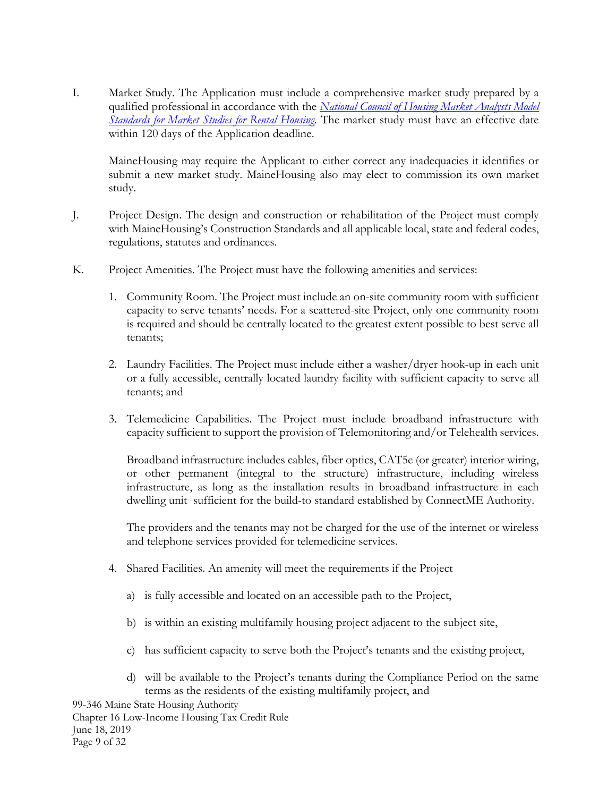I. Market Study. The Application must include a comprehensive market study prepared by a qualified professional in accordance with the *[National Council of Housing Market Analysts Model](http://www.mainehousing.org/docs/default-source/msha-rules/ch-16-ncahma-market-study-standards65f0cefbdce26f639ad9ff0000e8bc8d.pdf)  [Standards for Market Studies for Rental Housing.](http://www.mainehousing.org/docs/default-source/msha-rules/ch-16-ncahma-market-study-standards65f0cefbdce26f639ad9ff0000e8bc8d.pdf)* The market study must have an effective date within 120 days of the Application deadline.

MaineHousing may require the Applicant to either correct any inadequacies it identifies or submit a new market study. MaineHousing also may elect to commission its own market study.

- J. Project Design. The design and construction or rehabilitation of the Project must comply with MaineHousing's Construction Standards and all applicable local, state and federal codes, regulations, statutes and ordinances.
- K. Project Amenities. The Project must have the following amenities and services:
	- 1. Community Room. The Project must include an on-site community room with sufficient capacity to serve tenants' needs. For a scattered-site Project, only one community room is required and should be centrally located to the greatest extent possible to best serve all tenants;
	- 2. Laundry Facilities. The Project must include either a washer/dryer hook-up in each unit or a fully accessible, centrally located laundry facility with sufficient capacity to serve all tenants; and
	- 3. Telemedicine Capabilities. The Project must include broadband infrastructure with capacity sufficient to support the provision of Telemonitoring and/or Telehealth services.

Broadband infrastructure includes cables, fiber optics, CAT5e (or greater) interior wiring, or other permanent (integral to the structure) infrastructure, including wireless infrastructure, as long as the installation results in broadband infrastructure in each dwelling unit sufficient for the build-to standard established by ConnectME Authority.

The providers and the tenants may not be charged for the use of the internet or wireless and telephone services provided for telemedicine services.

- 4. Shared Facilities. An amenity will meet the requirements if the Project
	- a) is fully accessible and located on an accessible path to the Project,
	- b) is within an existing multifamily housing project adjacent to the subject site,
	- c) has sufficient capacity to serve both the Project's tenants and the existing project,
	- d) will be available to the Project's tenants during the Compliance Period on the same terms as the residents of the existing multifamily project, and

99-346 Maine State Housing Authority Chapter 16 Low-Income Housing Tax Credit Rule June 18, 2019 Page 9 of 32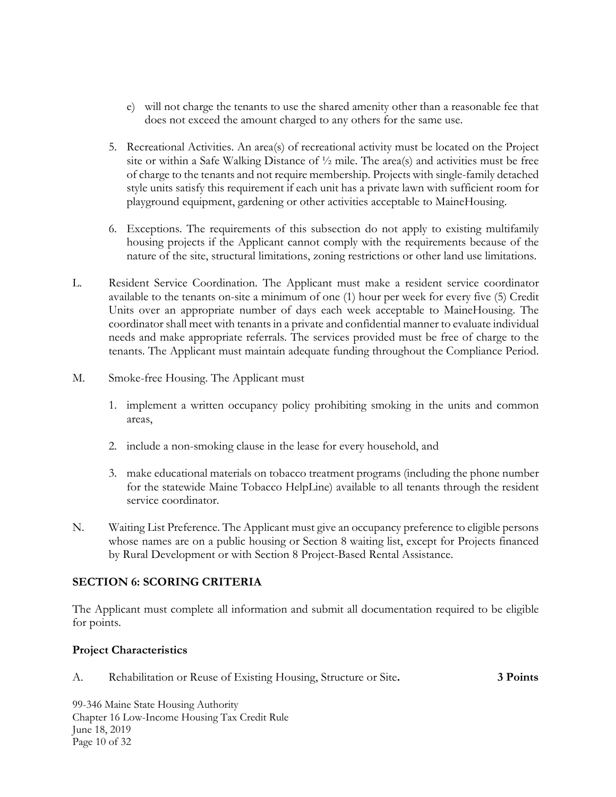- e) will not charge the tenants to use the shared amenity other than a reasonable fee that does not exceed the amount charged to any others for the same use.
- 5. Recreational Activities. An area(s) of recreational activity must be located on the Project site or within a Safe Walking Distance of ½ mile. The area(s) and activities must be free of charge to the tenants and not require membership. Projects with single-family detached style units satisfy this requirement if each unit has a private lawn with sufficient room for playground equipment, gardening or other activities acceptable to MaineHousing.
- 6. Exceptions. The requirements of this subsection do not apply to existing multifamily housing projects if the Applicant cannot comply with the requirements because of the nature of the site, structural limitations, zoning restrictions or other land use limitations.
- L. Resident Service Coordination. The Applicant must make a resident service coordinator available to the tenants on-site a minimum of one (1) hour per week for every five (5) Credit Units over an appropriate number of days each week acceptable to MaineHousing. The coordinator shall meet with tenants in a private and confidential manner to evaluate individual needs and make appropriate referrals. The services provided must be free of charge to the tenants. The Applicant must maintain adequate funding throughout the Compliance Period.
- M. Smoke-free Housing. The Applicant must
	- 1. implement a written occupancy policy prohibiting smoking in the units and common areas,
	- 2. include a non-smoking clause in the lease for every household, and
	- 3. make educational materials on tobacco treatment programs (including the phone number for the statewide Maine Tobacco HelpLine) available to all tenants through the resident service coordinator.
- N. Waiting List Preference. The Applicant must give an occupancy preference to eligible persons whose names are on a public housing or Section 8 waiting list, except for Projects financed by Rural Development or with Section 8 Project-Based Rental Assistance.

### <span id="page-11-0"></span>**SECTION 6: SCORING CRITERIA**

The Applicant must complete all information and submit all documentation required to be eligible for points.

### **Project Characteristics**

A. Rehabilitation or Reuse of Existing Housing, Structure or Site**. 3 Points**

99-346 Maine State Housing Authority Chapter 16 Low-Income Housing Tax Credit Rule June 18, 2019 Page 10 of 32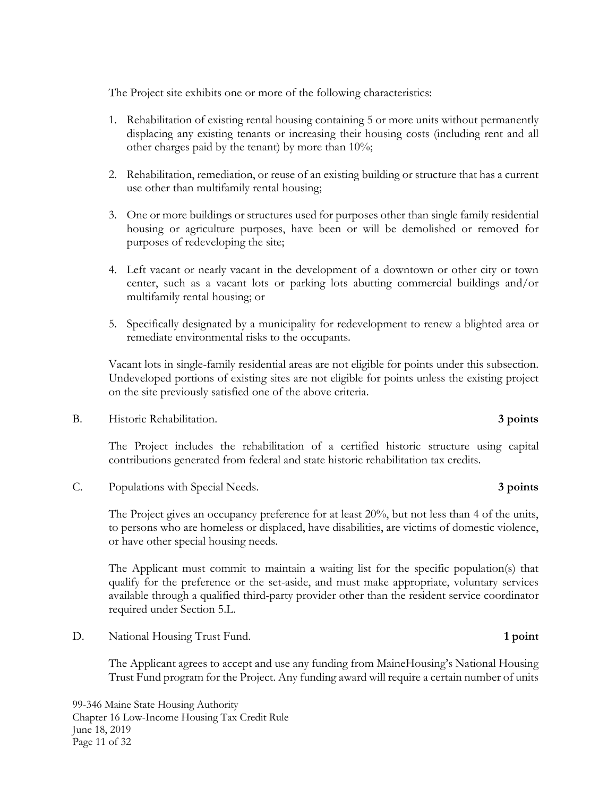The Project site exhibits one or more of the following characteristics:

- 1. Rehabilitation of existing rental housing containing 5 or more units without permanently displacing any existing tenants or increasing their housing costs (including rent and all other charges paid by the tenant) by more than 10%;
- 2. Rehabilitation, remediation, or reuse of an existing building or structure that has a current use other than multifamily rental housing;
- 3. One or more buildings or structures used for purposes other than single family residential housing or agriculture purposes, have been or will be demolished or removed for purposes of redeveloping the site;
- 4. Left vacant or nearly vacant in the development of a downtown or other city or town center, such as a vacant lots or parking lots abutting commercial buildings and/or multifamily rental housing; or
- 5. Specifically designated by a municipality for redevelopment to renew a blighted area or remediate environmental risks to the occupants.

Vacant lots in single-family residential areas are not eligible for points under this subsection. Undeveloped portions of existing sites are not eligible for points unless the existing project on the site previously satisfied one of the above criteria.

B. Historic Rehabilitation. **3 points**

The Project includes the rehabilitation of a certified historic structure using capital contributions generated from federal and state historic rehabilitation tax credits.

C. Populations with Special Needs. **3 points**

The Project gives an occupancy preference for at least 20%, but not less than 4 of the units, to persons who are homeless or displaced, have disabilities, are victims of domestic violence, or have other special housing needs.

The Applicant must commit to maintain a waiting list for the specific population(s) that qualify for the preference or the set-aside, and must make appropriate, voluntary services available through a qualified third-party provider other than the resident service coordinator required under Section 5.L.

D. National Housing Trust Fund. **1 point**

The Applicant agrees to accept and use any funding from MaineHousing's National Housing Trust Fund program for the Project. Any funding award will require a certain number of units

99-346 Maine State Housing Authority Chapter 16 Low-Income Housing Tax Credit Rule June 18, 2019 Page 11 of 32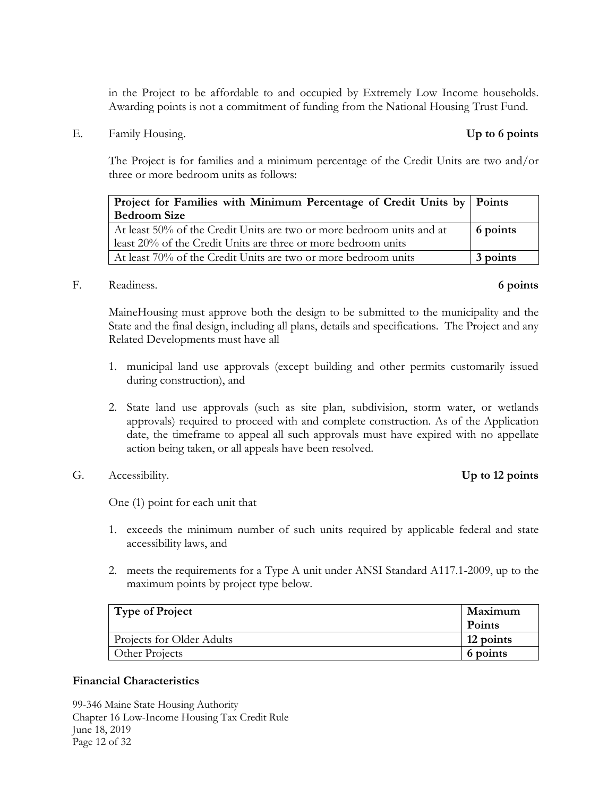in the Project to be affordable to and occupied by Extremely Low Income households. Awarding points is not a commitment of funding from the National Housing Trust Fund.

E. Family Housing. **Up to 6 points**

The Project is for families and a minimum percentage of the Credit Units are two and/or three or more bedroom units as follows:

| Project for Families with Minimum Percentage of Credit Units by   Points |          |
|--------------------------------------------------------------------------|----------|
| <b>Bedroom Size</b>                                                      |          |
| At least 50% of the Credit Units are two or more bedroom units and at    | 6 points |
| least 20% of the Credit Units are three or more bedroom units            |          |
| At least 70% of the Credit Units are two or more bedroom units           | 3 points |

F. Readiness. **6 points**

MaineHousing must approve both the design to be submitted to the municipality and the State and the final design, including all plans, details and specifications. The Project and any Related Developments must have all

- 1. municipal land use approvals (except building and other permits customarily issued during construction), and
- 2. State land use approvals (such as site plan, subdivision, storm water, or wetlands approvals) required to proceed with and complete construction. As of the Application date, the timeframe to appeal all such approvals must have expired with no appellate action being taken, or all appeals have been resolved.
- G. Accessibility. **Up to 12 points**

One (1) point for each unit that

- 1. exceeds the minimum number of such units required by applicable federal and state accessibility laws, and
- 2. meets the requirements for a Type A unit under ANSI Standard A117.1-2009, up to the maximum points by project type below.

| Type of Project           | Maximum       |
|---------------------------|---------------|
|                           | <b>Points</b> |
| Projects for Older Adults | 12 points     |
| Other Projects            | 6 points      |

# **Financial Characteristics**

99-346 Maine State Housing Authority Chapter 16 Low-Income Housing Tax Credit Rule June 18, 2019 Page 12 of 32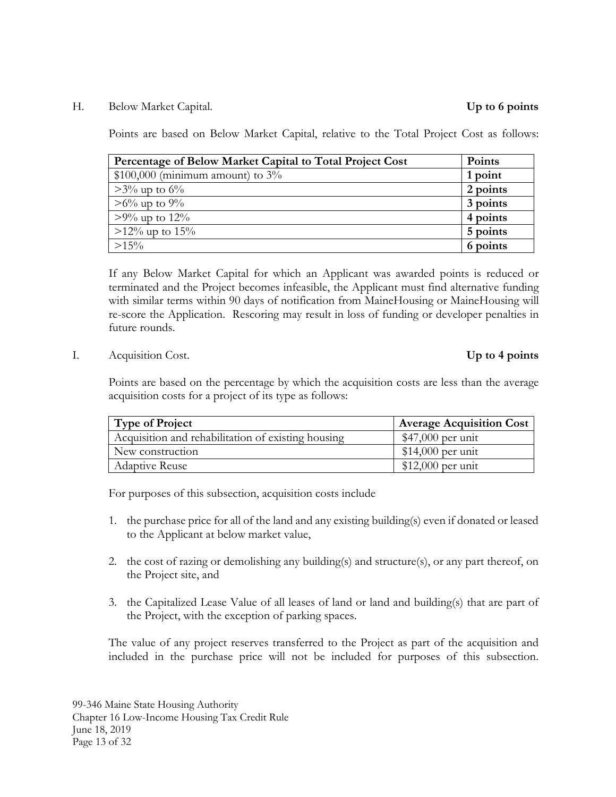H. Below Market Capital. **Up to 6 points**

Points are based on Below Market Capital, relative to the Total Project Cost as follows:

| Percentage of Below Market Capital to Total Project Cost | Points   |
|----------------------------------------------------------|----------|
| $$100,000$ (minimum amount) to $3\%$                     | 1 point  |
| $>3\%$ up to 6%                                          | 2 points |
| $>6\%$ up to 9%                                          | 3 points |
| $>9\%$ up to 12%                                         | 4 points |
| $>12\%$ up to 15%                                        | 5 points |
| $>15\%$                                                  | 6 points |

If any Below Market Capital for which an Applicant was awarded points is reduced or terminated and the Project becomes infeasible, the Applicant must find alternative funding with similar terms within 90 days of notification from MaineHousing or MaineHousing will re-score the Application. Rescoring may result in loss of funding or developer penalties in future rounds.

I. Acquisition Cost. **Up to 4 points**

Points are based on the percentage by which the acquisition costs are less than the average acquisition costs for a project of its type as follows:

| <b>Type of Project</b>                             | <b>Average Acquisition Cost</b> |
|----------------------------------------------------|---------------------------------|
| Acquisition and rehabilitation of existing housing | $$47,000$ per unit              |
| New construction                                   | $$14,000$ per unit              |
| <b>Adaptive Reuse</b>                              | $$12,000$ per unit              |

For purposes of this subsection, acquisition costs include

- 1. the purchase price for all of the land and any existing building(s) even if donated or leased to the Applicant at below market value,
- 2. the cost of razing or demolishing any building(s) and structure(s), or any part thereof, on the Project site, and
- 3. the Capitalized Lease Value of all leases of land or land and building(s) that are part of the Project, with the exception of parking spaces.

The value of any project reserves transferred to the Project as part of the acquisition and included in the purchase price will not be included for purposes of this subsection.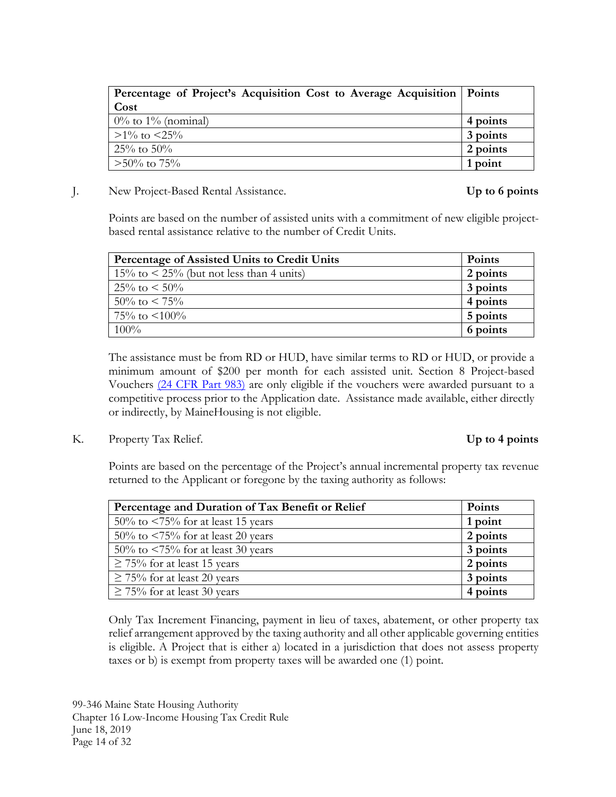| Percentage of Project's Acquisition Cost to Average Acquisition   Points |          |
|--------------------------------------------------------------------------|----------|
| Cost                                                                     |          |
| $0\%$ to $1\%$ (nominal)                                                 | 4 points |
| $>1\%$ to $<25\%$                                                        | 3 points |
| $25\%$ to $50\%$                                                         | 2 points |
| $>50\%$ to 75%                                                           | 1 point  |

J. New Project-Based Rental Assistance. **Up to 6 points**

Points are based on the number of assisted units with a commitment of new eligible projectbased rental assistance relative to the number of Credit Units.

| Percentage of Assisted Units to Credit Units      | <b>Points</b> |
|---------------------------------------------------|---------------|
| $15\%$ to $\leq 25\%$ (but not less than 4 units) | 2 points      |
| $25\%$ to $\leq 50\%$                             | 3 points      |
| $50\%$ to $\lt 75\%$                              | 4 points      |
| $75\%$ to $\leq 100\%$                            | 5 points      |
| $100\%$                                           | 6 points      |

The assistance must be from RD or HUD, have similar terms to RD or HUD, or provide a minimum amount of \$200 per month for each assisted unit. Section 8 Project-based Vouchers [\(24 CFR Part 983\)](https://www.law.cornell.edu/cfr/text/24/part-983) are only eligible if the vouchers were awarded pursuant to a competitive process prior to the Application date. Assistance made available, either directly or indirectly, by MaineHousing is not eligible.

K. Property Tax Relief. **Up to 4 points**

Points are based on the percentage of the Project's annual incremental property tax revenue returned to the Applicant or foregone by the taxing authority as follows:

| Percentage and Duration of Tax Benefit or Relief | <b>Points</b> |
|--------------------------------------------------|---------------|
| $50\%$ to $\leq 75\%$ for at least 15 years      | 1 point       |
| $50\%$ to $\leq 75\%$ for at least 20 years      | 2 points      |
| $50\%$ to $\leq 75\%$ for at least 30 years      | 3 points      |
| $\geq$ 75% for at least 15 years                 | 2 points      |
| $\geq$ 75% for at least 20 years                 | 3 points      |
| $\geq$ 75% for at least 30 years                 | 4 points      |

Only Tax Increment Financing, payment in lieu of taxes, abatement, or other property tax relief arrangement approved by the taxing authority and all other applicable governing entities is eligible. A Project that is either a) located in a jurisdiction that does not assess property taxes or b) is exempt from property taxes will be awarded one (1) point.

99-346 Maine State Housing Authority Chapter 16 Low-Income Housing Tax Credit Rule June 18, 2019 Page 14 of 32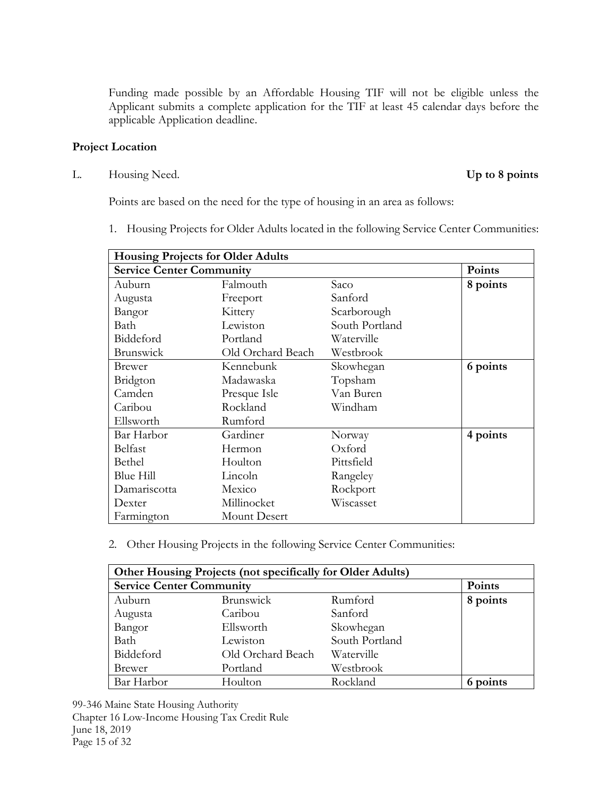Funding made possible by an Affordable Housing TIF will not be eligible unless the Applicant submits a complete application for the TIF at least 45 calendar days before the applicable Application deadline.

### **Project Location**

L. Housing Need. **Up to 8 points**

Points are based on the need for the type of housing in an area as follows:

1. Housing Projects for Older Adults located in the following Service Center Communities:

| <b>Housing Projects for Older Adults</b> |                   |                |          |
|------------------------------------------|-------------------|----------------|----------|
| <b>Service Center Community</b>          |                   |                | Points   |
| Auburn                                   | Falmouth          | Saco           | 8 points |
| Augusta                                  | Freeport          | Sanford        |          |
| Bangor                                   | Kittery           | Scarborough    |          |
| Bath                                     | Lewiston          | South Portland |          |
| Biddeford                                | Portland          | Waterville     |          |
| <b>Brunswick</b>                         | Old Orchard Beach | Westbrook      |          |
| Brewer                                   | Kennebunk         | Skowhegan      | 6 points |
| Bridgton                                 | Madawaska         | Topsham        |          |
| Camden                                   | Presque Isle      | Van Buren      |          |
| Caribou                                  | Rockland          | Windham        |          |
| Ellsworth                                | Rumford           |                |          |
| Bar Harbor                               | Gardiner          | Norway         | 4 points |
| Belfast                                  | Hermon            | Oxford         |          |
| Bethel                                   | Houlton           | Pittsfield     |          |
| Blue Hill                                | Lincoln           | Rangeley       |          |
| Damariscotta                             | Mexico            | Rockport       |          |
| Dexter                                   | Millinocket       | Wiscasset      |          |
| Farmington                               | Mount Desert      |                |          |

2. Other Housing Projects in the following Service Center Communities:

| Other Housing Projects (not specifically for Older Adults) |                   |                |          |
|------------------------------------------------------------|-------------------|----------------|----------|
| <b>Service Center Community</b>                            |                   |                | Points   |
| Auburn                                                     | <b>Brunswick</b>  | Rumford        | 8 points |
| Augusta                                                    | Caribou           | Sanford        |          |
| Bangor                                                     | Ellsworth         | Skowhegan      |          |
| Bath                                                       | Lewiston          | South Portland |          |
| Biddeford                                                  | Old Orchard Beach | Waterville     |          |
| <b>Brewer</b>                                              | Portland          | Westbrook      |          |
| Bar Harbor                                                 | Houlton           | Rockland       | 6 points |

99-346 Maine State Housing Authority Chapter 16 Low-Income Housing Tax Credit Rule June 18, 2019 Page 15 of 32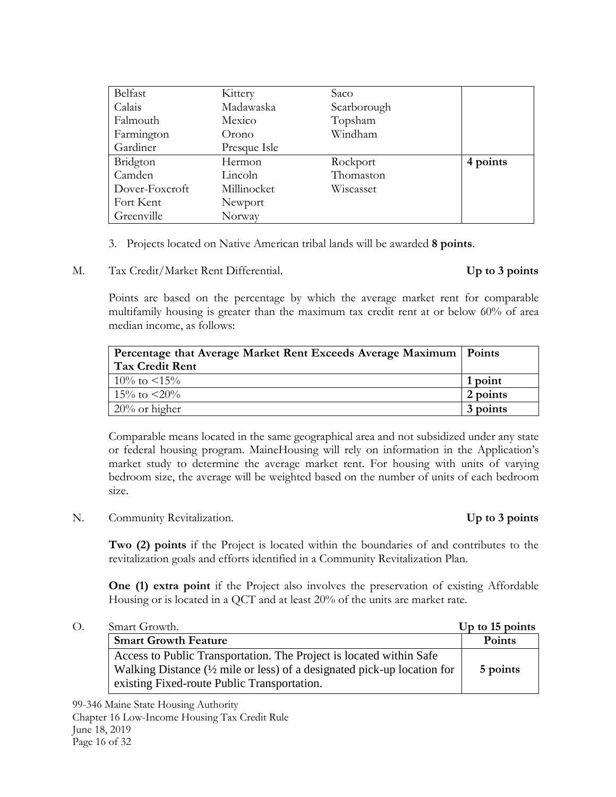| Belfast        | Kittery      | Saco        |          |
|----------------|--------------|-------------|----------|
| Calais         | Madawaska    | Scarborough |          |
| Falmouth       | Mexico       | Topsham     |          |
| Farmington     | Orono        | Windham     |          |
| Gardiner       | Presque Isle |             |          |
| Bridgton       | Hermon       | Rockport    | 4 points |
| Camden         | Lincoln      | Thomaston   |          |
| Dover-Foxcroft | Millinocket  | Wiscasset   |          |
| Fort Kent      | Newport      |             |          |
| Greenville     | Norway       |             |          |

- 3. Projects located on Native American tribal lands will be awarded **8 points**.
- M. Tax Credit/Market Rent Differential. **Up to 3 points**

Points are based on the percentage by which the average market rent for comparable multifamily housing is greater than the maximum tax credit rent at or below 60% of area median income, as follows:

| Percentage that Average Market Rent Exceeds Average Maximum   Points |          |
|----------------------------------------------------------------------|----------|
| <b>Tax Credit Rent</b>                                               |          |
| $10\%$ to $\leq 15\%$                                                | 1 point  |
| $15\%$ to $\leq 20\%$                                                | 2 points |
| $20\%$ or higher                                                     | 3 points |

Comparable means located in the same geographical area and not subsidized under any state or federal housing program. MaineHousing will rely on information in the Application's market study to determine the average market rent. For housing with units of varying bedroom size, the average will be weighted based on the number of units of each bedroom size.

N. Community Revitalization. **Up to 3 points**

**Two (2) points** if the Project is located within the boundaries of and contributes to the revitalization goals and efforts identified in a Community Revitalization Plan.

**One (1) extra point** if the Project also involves the preservation of existing Affordable Housing or is located in a QCT and at least 20% of the units are market rate.

| О.<br>Smart Growth.                                                      | Up to 15 points |
|--------------------------------------------------------------------------|-----------------|
| <b>Smart Growth Feature</b>                                              | <b>Points</b>   |
| Access to Public Transportation. The Project is located within Safe      |                 |
| Walking Distance (1/2 mile or less) of a designated pick-up location for | 5 points        |
| existing Fixed-route Public Transportation.                              |                 |

99-346 Maine State Housing Authority Chapter 16 Low-Income Housing Tax Credit Rule June 18, 2019 Page 16 of 32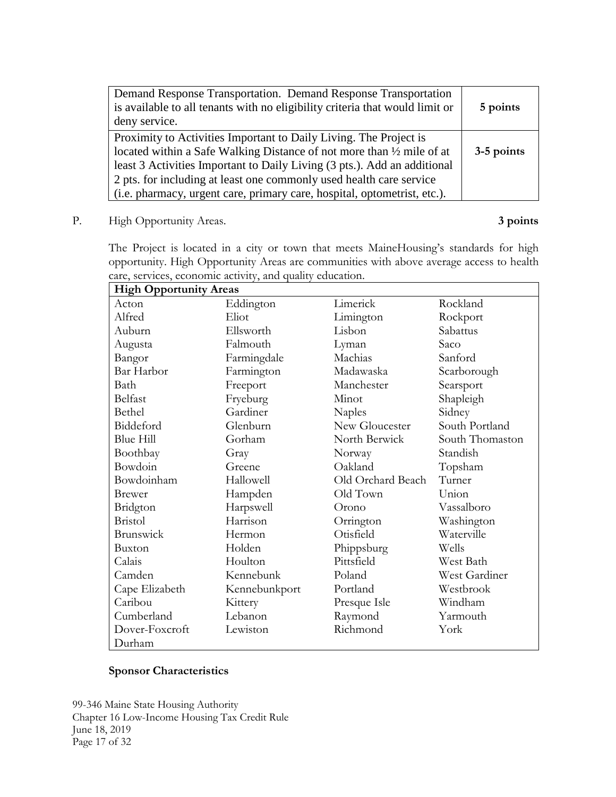| Demand Response Transportation. Demand Response Transportation<br>is available to all tenants with no eligibility criteria that would limit or<br>deny service.                                                                                                                                                                                                                      | 5 points   |
|--------------------------------------------------------------------------------------------------------------------------------------------------------------------------------------------------------------------------------------------------------------------------------------------------------------------------------------------------------------------------------------|------------|
| Proximity to Activities Important to Daily Living. The Project is<br>located within a Safe Walking Distance of not more than $\frac{1}{2}$ mile of at<br>least 3 Activities Important to Daily Living (3 pts.). Add an additional<br>2 pts. for including at least one commonly used health care service<br>(i.e. pharmacy, urgent care, primary care, hospital, optometrist, etc.). | 3-5 points |

P. High Opportunity Areas. **3 points**

The Project is located in a city or town that meets MaineHousing's standards for high opportunity. High Opportunity Areas are communities with above average access to health care, services, economic activity, and quality education.

| <b>High Opportunity Areas</b> |               |                   |                 |  |  |
|-------------------------------|---------------|-------------------|-----------------|--|--|
| Acton                         | Eddington     | Limerick          | Rockland        |  |  |
| Alfred                        | Eliot         | Limington         | Rockport        |  |  |
| Auburn                        | Ellsworth     | Lisbon            | Sabattus        |  |  |
| Augusta                       | Falmouth      | Lyman             | Saco            |  |  |
| Bangor                        | Farmingdale   | Machias           | Sanford         |  |  |
| Bar Harbor                    | Farmington    | Madawaska         | Scarborough     |  |  |
| Bath                          | Freeport      | Manchester        | Searsport       |  |  |
| Belfast                       | Fryeburg      | Minot             | Shapleigh       |  |  |
| Bethel                        | Gardiner      | <b>Naples</b>     | Sidney          |  |  |
| Biddeford                     | Glenburn      | New Gloucester    | South Portland  |  |  |
| <b>Blue Hill</b>              | Gorham        | North Berwick     | South Thomaston |  |  |
| Boothbay                      | Gray          | Norway            | Standish        |  |  |
| Bowdoin                       | Greene        | Oakland           | Topsham         |  |  |
| Bowdoinham                    | Hallowell     | Old Orchard Beach | Turner          |  |  |
| <b>Brewer</b>                 | Hampden       | Old Town          | Union           |  |  |
| Bridgton                      | Harpswell     | Orono             | Vassalboro      |  |  |
| <b>Bristol</b>                | Harrison      | Orrington         | Washington      |  |  |
| <b>Brunswick</b>              | Hermon        | Otisfield         | Waterville      |  |  |
| Buxton                        | Holden        | Phippsburg        | Wells           |  |  |
| Calais                        | Houlton       | Pittsfield        | West Bath       |  |  |
| Camden                        | Kennebunk     | Poland            | West Gardiner   |  |  |
| Cape Elizabeth                | Kennebunkport | Portland          | Westbrook       |  |  |
| Caribou                       | Kittery       | Presque Isle      | Windham         |  |  |
| Cumberland                    | Lebanon       | Raymond           | Yarmouth        |  |  |
| Dover-Foxcroft                | Lewiston      | Richmond          | York            |  |  |
| Durham                        |               |                   |                 |  |  |

# **Sponsor Characteristics**

99-346 Maine State Housing Authority Chapter 16 Low-Income Housing Tax Credit Rule June 18, 2019 Page 17 of 32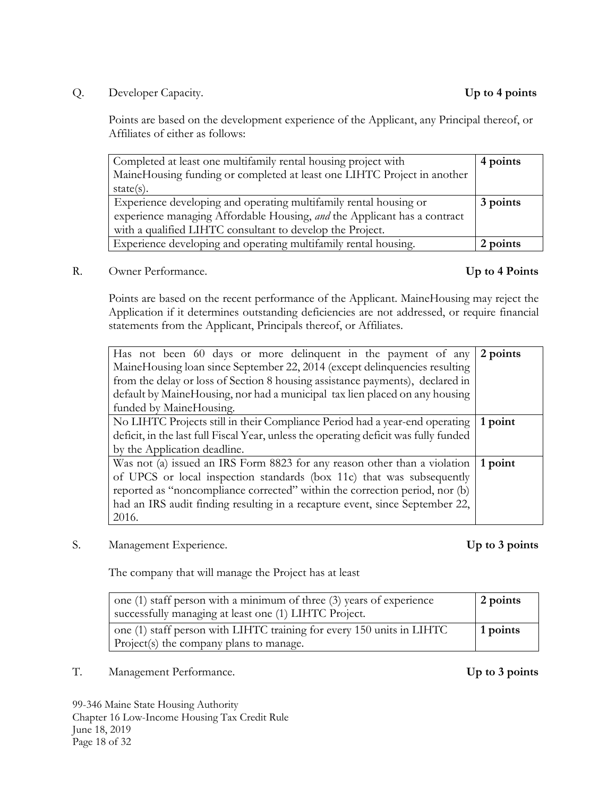Q. Developer Capacity. **Up to 4 points**

Points are based on the development experience of the Applicant, any Principal thereof, or Affiliates of either as follows:

| Completed at least one multifamily rental housing project with           | 4 points |
|--------------------------------------------------------------------------|----------|
| MaineHousing funding or completed at least one LIHTC Project in another  |          |
| $state(s)$ .                                                             |          |
| Experience developing and operating multifamily rental housing or        | 3 points |
| experience managing Affordable Housing, and the Applicant has a contract |          |
| with a qualified LIHTC consultant to develop the Project.                |          |
| Experience developing and operating multifamily rental housing.          | 2 points |

R. Owner Performance. **Up to 4 Points**

Points are based on the recent performance of the Applicant. MaineHousing may reject the Application if it determines outstanding deficiencies are not addressed, or require financial statements from the Applicant, Principals thereof, or Affiliates.

| Has not been 60 days or more delinquent in the payment of any                        | 2 points |
|--------------------------------------------------------------------------------------|----------|
| MaineHousing loan since September 22, 2014 (except delinquencies resulting           |          |
| from the delay or loss of Section 8 housing assistance payments), declared in        |          |
| default by MaineHousing, nor had a municipal tax lien placed on any housing          |          |
| funded by MaineHousing.                                                              |          |
| No LIHTC Projects still in their Compliance Period had a year-end operating          | 1 point  |
| deficit, in the last full Fiscal Year, unless the operating deficit was fully funded |          |
| by the Application deadline.                                                         |          |
| Was not (a) issued an IRS Form 8823 for any reason other than a violation            | 1 point  |
| of UPCS or local inspection standards (box 11c) that was subsequently                |          |
| reported as "noncompliance corrected" within the correction period, nor (b)          |          |
| had an IRS audit finding resulting in a recapture event, since September 22,         |          |
| 2016.                                                                                |          |

S. Management Experience. **Up to 3 points**

The company that will manage the Project has at least

| one $(1)$ staff person with a minimum of three $(3)$ years of experience<br>successfully managing at least one (1) LIHTC Project. | 2 points         |
|-----------------------------------------------------------------------------------------------------------------------------------|------------------|
| one (1) staff person with LIHTC training for every 150 units in LIHTC                                                             | $\perp$ 1 points |
| Project(s) the company plans to manage.                                                                                           |                  |

T. Management Performance. **Up to 3 points**

99-346 Maine State Housing Authority Chapter 16 Low-Income Housing Tax Credit Rule June 18, 2019 Page 18 of 32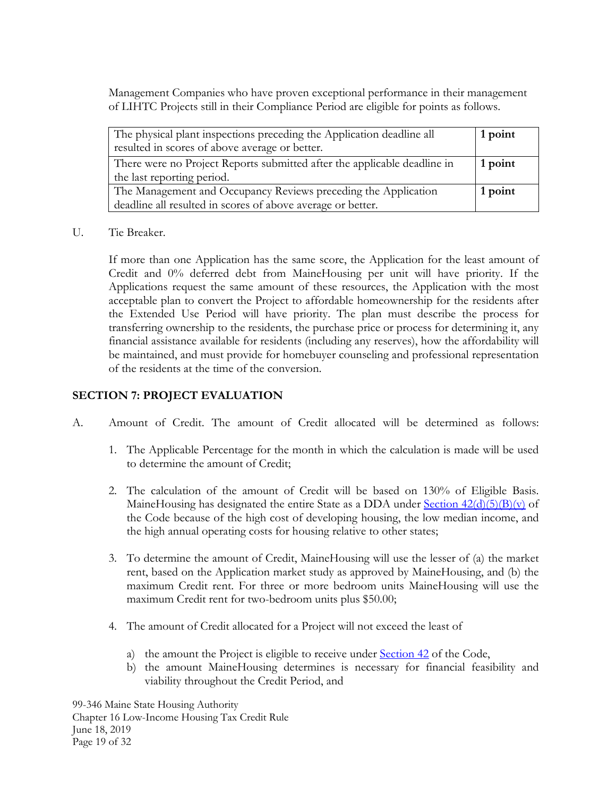Management Companies who have proven exceptional performance in their management of LIHTC Projects still in their Compliance Period are eligible for points as follows.

| The physical plant inspections preceding the Application deadline all               | 1 point |
|-------------------------------------------------------------------------------------|---------|
| resulted in scores of above average or better.                                      |         |
| There were no Project Reports submitted after the applicable deadline in<br>1 point |         |
| the last reporting period.                                                          |         |
| The Management and Occupancy Reviews preceding the Application                      |         |
| deadline all resulted in scores of above average or better.                         |         |

U. Tie Breaker.

If more than one Application has the same score, the Application for the least amount of Credit and 0% deferred debt from MaineHousing per unit will have priority. If the Applications request the same amount of these resources, the Application with the most acceptable plan to convert the Project to affordable homeownership for the residents after the Extended Use Period will have priority. The plan must describe the process for transferring ownership to the residents, the purchase price or process for determining it, any financial assistance available for residents (including any reserves), how the affordability will be maintained, and must provide for homebuyer counseling and professional representation of the residents at the time of the conversion.

# <span id="page-20-0"></span>**SECTION 7: PROJECT EVALUATION**

- A. Amount of Credit. The amount of Credit allocated will be determined as follows:
	- 1. The Applicable Percentage for the month in which the calculation is made will be used to determine the amount of Credit;
	- 2. The calculation of the amount of Credit will be based on 130% of Eligible Basis. MaineHousing has designated the entire State as a DDA under Section  $42(d)(5)(B)(v)$  of the Code because of the high cost of developing housing, the low median income, and the high annual operating costs for housing relative to other states;
	- 3. To determine the amount of Credit, MaineHousing will use the lesser of (a) the market rent, based on the Application market study as approved by MaineHousing, and (b) the maximum Credit rent. For three or more bedroom units MaineHousing will use the maximum Credit rent for two-bedroom units plus \$50.00;
	- 4. The amount of Credit allocated for a Project will not exceed the least of
		- a) the amount the Project is eligible to receive under [Section 42](https://www.law.cornell.edu/uscode/text/26/42) of the Code,
		- b) the amount MaineHousing determines is necessary for financial feasibility and viability throughout the Credit Period, and

99-346 Maine State Housing Authority Chapter 16 Low-Income Housing Tax Credit Rule June 18, 2019 Page 19 of 32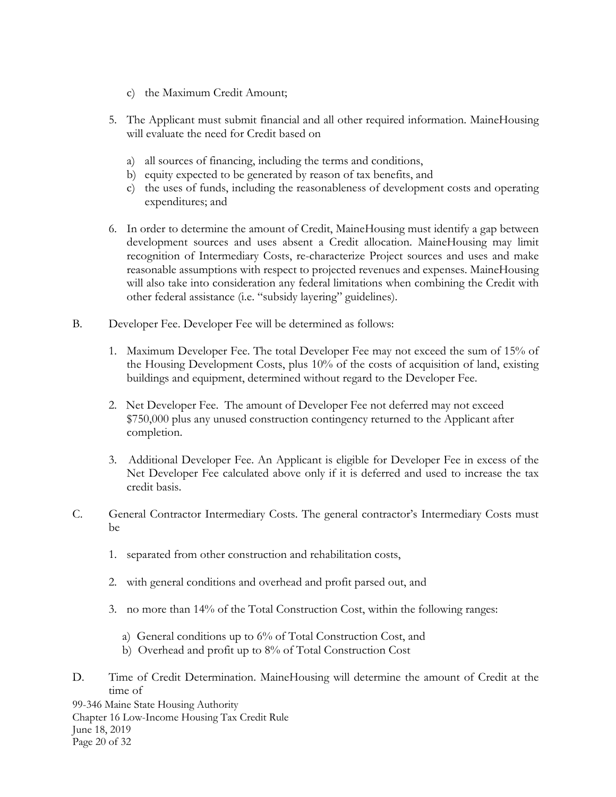- c) the Maximum Credit Amount;
- 5. The Applicant must submit financial and all other required information. MaineHousing will evaluate the need for Credit based on
	- a) all sources of financing, including the terms and conditions,
	- b) equity expected to be generated by reason of tax benefits, and
	- c) the uses of funds, including the reasonableness of development costs and operating expenditures; and
- 6. In order to determine the amount of Credit, MaineHousing must identify a gap between development sources and uses absent a Credit allocation. MaineHousing may limit recognition of Intermediary Costs, re-characterize Project sources and uses and make reasonable assumptions with respect to projected revenues and expenses. MaineHousing will also take into consideration any federal limitations when combining the Credit with other federal assistance (i.e. "subsidy layering" guidelines).
- B. Developer Fee. Developer Fee will be determined as follows:
	- 1. Maximum Developer Fee. The total Developer Fee may not exceed the sum of 15% of the Housing Development Costs, plus 10% of the costs of acquisition of land, existing buildings and equipment, determined without regard to the Developer Fee.
	- 2. Net Developer Fee. The amount of Developer Fee not deferred may not exceed \$750,000 plus any unused construction contingency returned to the Applicant after completion.
	- 3. Additional Developer Fee. An Applicant is eligible for Developer Fee in excess of the Net Developer Fee calculated above only if it is deferred and used to increase the tax credit basis.
- C. General Contractor Intermediary Costs. The general contractor's Intermediary Costs must be
	- 1. separated from other construction and rehabilitation costs,
	- 2. with general conditions and overhead and profit parsed out, and
	- 3. no more than 14% of the Total Construction Cost, within the following ranges:
		- a) General conditions up to 6% of Total Construction Cost, and
		- b) Overhead and profit up to 8% of Total Construction Cost
- D. Time of Credit Determination. MaineHousing will determine the amount of Credit at the time of

99-346 Maine State Housing Authority Chapter 16 Low-Income Housing Tax Credit Rule June 18, 2019 Page 20 of 32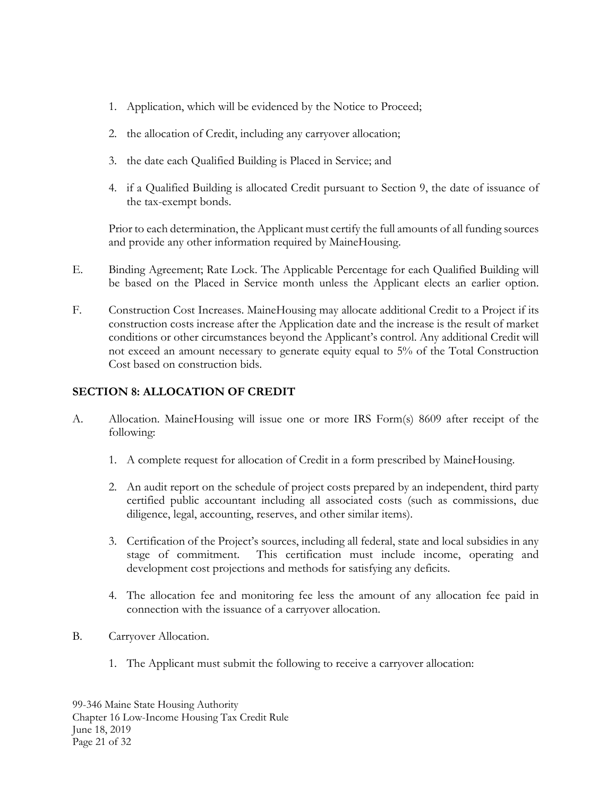- 1. Application, which will be evidenced by the Notice to Proceed;
- 2. the allocation of Credit, including any carryover allocation;
- 3. the date each Qualified Building is Placed in Service; and
- 4. if a Qualified Building is allocated Credit pursuant to Section 9, the date of issuance of the tax-exempt bonds.

Prior to each determination, the Applicant must certify the full amounts of all funding sources and provide any other information required by MaineHousing.

- E. Binding Agreement; Rate Lock. The Applicable Percentage for each Qualified Building will be based on the Placed in Service month unless the Applicant elects an earlier option.
- F. Construction Cost Increases. MaineHousing may allocate additional Credit to a Project if its construction costs increase after the Application date and the increase is the result of market conditions or other circumstances beyond the Applicant's control. Any additional Credit will not exceed an amount necessary to generate equity equal to 5% of the Total Construction Cost based on construction bids.

# <span id="page-22-0"></span>**SECTION 8: ALLOCATION OF CREDIT**

- A. Allocation. MaineHousing will issue one or more IRS Form(s) 8609 after receipt of the following:
	- 1. A complete request for allocation of Credit in a form prescribed by MaineHousing.
	- 2. An audit report on the schedule of project costs prepared by an independent, third party certified public accountant including all associated costs (such as commissions, due diligence, legal, accounting, reserves, and other similar items).
	- 3. Certification of the Project's sources, including all federal, state and local subsidies in any stage of commitment. This certification must include income, operating and development cost projections and methods for satisfying any deficits.
	- 4. The allocation fee and monitoring fee less the amount of any allocation fee paid in connection with the issuance of a carryover allocation.
- B. Carryover Allocation.
	- 1. The Applicant must submit the following to receive a carryover allocation: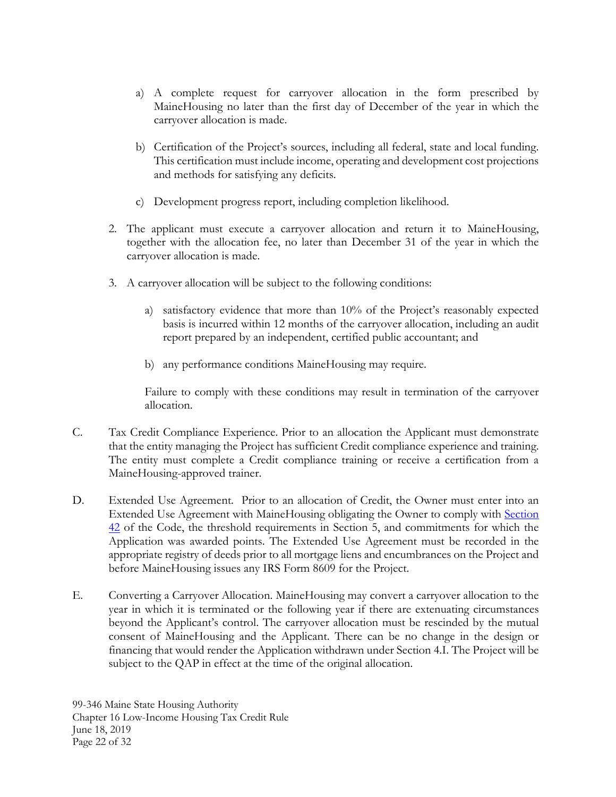- a) A complete request for carryover allocation in the form prescribed by MaineHousing no later than the first day of December of the year in which the carryover allocation is made.
- b) Certification of the Project's sources, including all federal, state and local funding. This certification must include income, operating and development cost projections and methods for satisfying any deficits.
- c) Development progress report, including completion likelihood.
- 2. The applicant must execute a carryover allocation and return it to MaineHousing, together with the allocation fee, no later than December 31 of the year in which the carryover allocation is made.
- 3. A carryover allocation will be subject to the following conditions:
	- a) satisfactory evidence that more than 10% of the Project's reasonably expected basis is incurred within 12 months of the carryover allocation, including an audit report prepared by an independent, certified public accountant; and
	- b) any performance conditions MaineHousing may require.

Failure to comply with these conditions may result in termination of the carryover allocation.

- C. Tax Credit Compliance Experience. Prior to an allocation the Applicant must demonstrate that the entity managing the Project has sufficient Credit compliance experience and training. The entity must complete a Credit compliance training or receive a certification from a MaineHousing-approved trainer.
- D. Extended Use Agreement. Prior to an allocation of Credit, the Owner must enter into an Extended Use Agreement with MaineHousing obligating the Owner to comply with [Section](https://www.law.cornell.edu/uscode/text/26/42)  [42](https://www.law.cornell.edu/uscode/text/26/42) of the Code, the threshold requirements in Section 5, and commitments for which the Application was awarded points. The Extended Use Agreement must be recorded in the appropriate registry of deeds prior to all mortgage liens and encumbrances on the Project and before MaineHousing issues any IRS Form 8609 for the Project.
- E. Converting a Carryover Allocation. MaineHousing may convert a carryover allocation to the year in which it is terminated or the following year if there are extenuating circumstances beyond the Applicant's control. The carryover allocation must be rescinded by the mutual consent of MaineHousing and the Applicant. There can be no change in the design or financing that would render the Application withdrawn under Section 4.I. The Project will be subject to the QAP in effect at the time of the original allocation.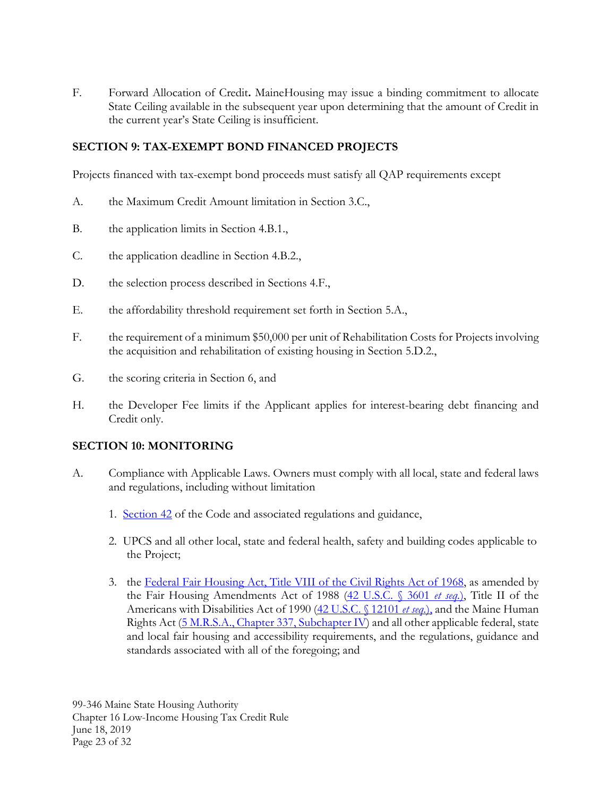F. Forward Allocation of Credit**.** MaineHousing may issue a binding commitment to allocate State Ceiling available in the subsequent year upon determining that the amount of Credit in the current year's State Ceiling is insufficient.

# <span id="page-24-0"></span>**SECTION 9: TAX-EXEMPT BOND FINANCED PROJECTS**

Projects financed with tax-exempt bond proceeds must satisfy all QAP requirements except

- A. the Maximum Credit Amount limitation in Section 3.C.,
- B. the application limits in Section 4.B.1.,
- C. the application deadline in Section 4.B.2.,
- D. the selection process described in Sections 4.F.,
- E. the affordability threshold requirement set forth in Section 5.A.,
- F. the requirement of a minimum \$50,000 per unit of Rehabilitation Costs for Projects involving the acquisition and rehabilitation of existing housing in Section 5.D.2.,
- G. the scoring criteria in Section 6, and
- H. the Developer Fee limits if the Applicant applies for interest-bearing debt financing and Credit only.

### <span id="page-24-1"></span>**SECTION 10: MONITORING**

- A. Compliance with Applicable Laws. Owners must comply with all local, state and federal laws and regulations, including without limitation
	- 1. [Section 42](https://www.law.cornell.edu/uscode/text/26/42) of the Code and associated regulations and guidance,
	- 2. UPCS and all other local, state and federal health, safety and building codes applicable to the Project;
	- 3. the [Federal Fair Housing Act, Title VIII of the Civil Rights Act of 1968,](https://www.hud.gov/program_offices/fair_housing_equal_opp/fair_housing_and_related_law) as amended by the Fair Housing Amendments Act of 1988 [\(42 U.S.C. § 3601](https://www.law.cornell.edu/uscode/text/42/chapter-45/subchapter-I) *et seq.*), Title II of the Americans with Disabilities Act of 1990 [\(42 U.S.C. § 12101](https://www.law.cornell.edu/uscode/text/42/12101) *et seq.*), and the Maine Human Rights Act [\(5 M.R.S.A., Chapter 337, Subchapter IV\)](http://www.mainelegislature.org/legis/statutes/5/title5ch337sec0.html) and all other applicable federal, state and local fair housing and accessibility requirements, and the regulations, guidance and standards associated with all of the foregoing; and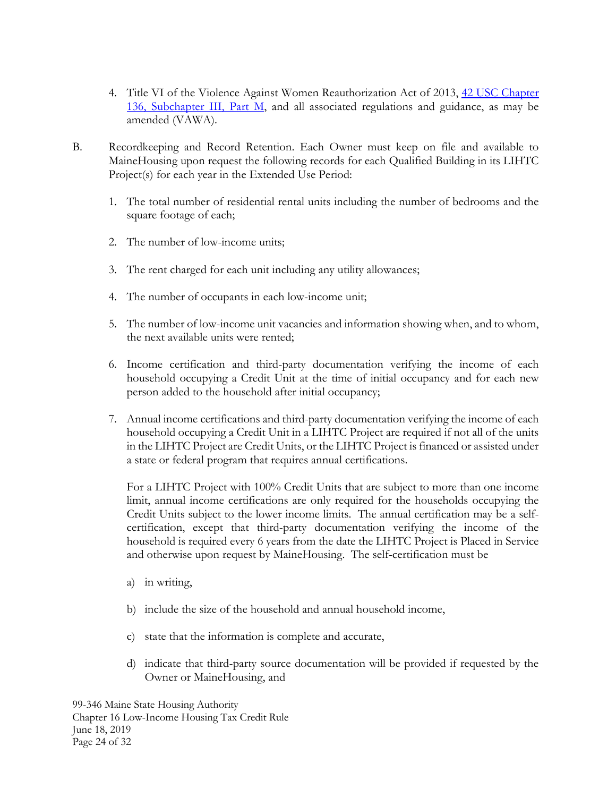- 4. Title VI of the Violence Against Women Reauthorization Act of 2013, 42 USC Chapter [136, Subchapter III, Part M,](https://www.law.cornell.edu/uscode/text/42/chapter-136/subchapter-III) and all associated regulations and guidance, as may be amended (VAWA).
- B. Recordkeeping and Record Retention. Each Owner must keep on file and available to MaineHousing upon request the following records for each Qualified Building in its LIHTC Project(s) for each year in the Extended Use Period:
	- 1. The total number of residential rental units including the number of bedrooms and the square footage of each;
	- 2. The number of low-income units;
	- 3. The rent charged for each unit including any utility allowances;
	- 4. The number of occupants in each low-income unit;
	- 5. The number of low-income unit vacancies and information showing when, and to whom, the next available units were rented;
	- 6. Income certification and third-party documentation verifying the income of each household occupying a Credit Unit at the time of initial occupancy and for each new person added to the household after initial occupancy;
	- 7. Annual income certifications and third-party documentation verifying the income of each household occupying a Credit Unit in a LIHTC Project are required if not all of the units in the LIHTC Project are Credit Units, or the LIHTC Project is financed or assisted under a state or federal program that requires annual certifications.

For a LIHTC Project with 100% Credit Units that are subject to more than one income limit, annual income certifications are only required for the households occupying the Credit Units subject to the lower income limits. The annual certification may be a selfcertification, except that third-party documentation verifying the income of the household is required every 6 years from the date the LIHTC Project is Placed in Service and otherwise upon request by MaineHousing. The self-certification must be

- a) in writing,
- b) include the size of the household and annual household income,
- c) state that the information is complete and accurate,
- d) indicate that third-party source documentation will be provided if requested by the Owner or MaineHousing, and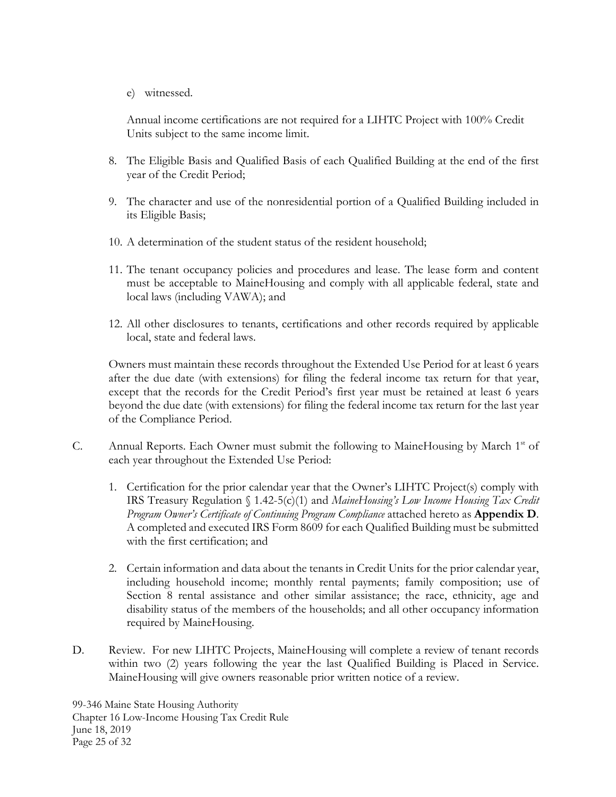e) witnessed.

Annual income certifications are not required for a LIHTC Project with 100% Credit Units subject to the same income limit.

- 8. The Eligible Basis and Qualified Basis of each Qualified Building at the end of the first year of the Credit Period;
- 9. The character and use of the nonresidential portion of a Qualified Building included in its Eligible Basis;
- 10. A determination of the student status of the resident household;
- 11. The tenant occupancy policies and procedures and lease. The lease form and content must be acceptable to MaineHousing and comply with all applicable federal, state and local laws (including VAWA); and
- 12. All other disclosures to tenants, certifications and other records required by applicable local, state and federal laws.

Owners must maintain these records throughout the Extended Use Period for at least 6 years after the due date (with extensions) for filing the federal income tax return for that year, except that the records for the Credit Period's first year must be retained at least 6 years beyond the due date (with extensions) for filing the federal income tax return for the last year of the Compliance Period.

- C. Annual Reports. Each Owner must submit the following to MaineHousing by March 1<sup>st</sup> of each year throughout the Extended Use Period:
	- 1. Certification for the prior calendar year that the Owner's LIHTC Project(s) comply with IRS Treasury Regulation § 1.42-5(c)(1) and *MaineHousing's Low Income Housing Tax Credit Program Owner's Certificate of Continuing Program Compliance* attached hereto as **Appendix D**. A completed and executed IRS Form 8609 for each Qualified Building must be submitted with the first certification; and
	- 2. Certain information and data about the tenants in Credit Units for the prior calendar year, including household income; monthly rental payments; family composition; use of Section 8 rental assistance and other similar assistance; the race, ethnicity, age and disability status of the members of the households; and all other occupancy information required by MaineHousing.
- D. Review. For new LIHTC Projects, MaineHousing will complete a review of tenant records within two (2) years following the year the last Qualified Building is Placed in Service. MaineHousing will give owners reasonable prior written notice of a review.

99-346 Maine State Housing Authority Chapter 16 Low-Income Housing Tax Credit Rule June 18, 2019 Page 25 of 32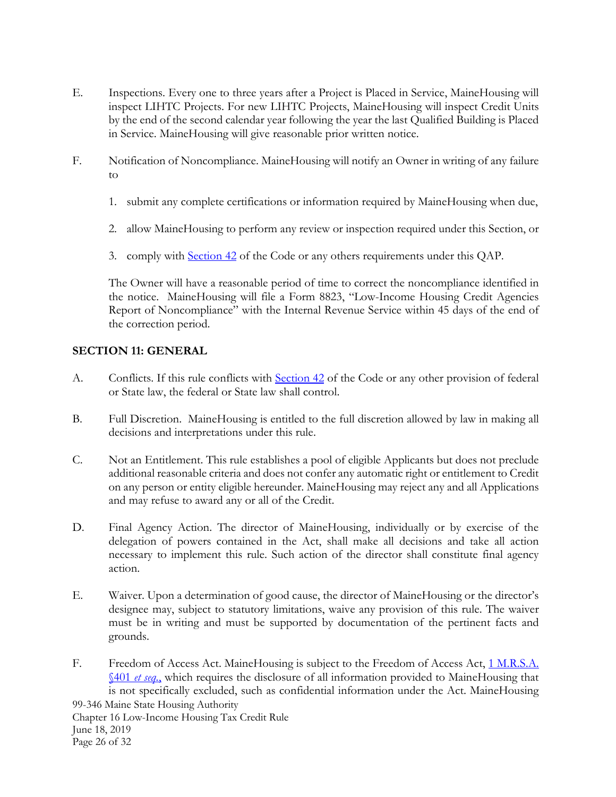- E. Inspections. Every one to three years after a Project is Placed in Service, MaineHousing will inspect LIHTC Projects. For new LIHTC Projects, MaineHousing will inspect Credit Units by the end of the second calendar year following the year the last Qualified Building is Placed in Service. MaineHousing will give reasonable prior written notice.
- F. Notification of Noncompliance. MaineHousing will notify an Owner in writing of any failure to
	- 1. submit any complete certifications or information required by MaineHousing when due,
	- 2. allow MaineHousing to perform any review or inspection required under this Section, or
	- 3. comply with [Section 42](https://www.law.cornell.edu/uscode/text/26/42) of the Code or any others requirements under this QAP.

The Owner will have a reasonable period of time to correct the noncompliance identified in the notice. MaineHousing will file a Form 8823, "Low-Income Housing Credit Agencies Report of Noncompliance" with the Internal Revenue Service within 45 days of the end of the correction period.

### <span id="page-27-0"></span>**SECTION 11: GENERAL**

- A. Conflicts. If this rule conflicts with [Section 42](https://www.law.cornell.edu/uscode/text/26/42) of the Code or any other provision of federal or State law, the federal or State law shall control.
- B. Full Discretion. MaineHousing is entitled to the full discretion allowed by law in making all decisions and interpretations under this rule.
- C. Not an Entitlement. This rule establishes a pool of eligible Applicants but does not preclude additional reasonable criteria and does not confer any automatic right or entitlement to Credit on any person or entity eligible hereunder. MaineHousing may reject any and all Applications and may refuse to award any or all of the Credit.
- D. Final Agency Action. The director of MaineHousing, individually or by exercise of the delegation of powers contained in the Act, shall make all decisions and take all action necessary to implement this rule. Such action of the director shall constitute final agency action.
- E. Waiver. Upon a determination of good cause, the director of MaineHousing or the director's designee may, subject to statutory limitations, waive any provision of this rule. The waiver must be in writing and must be supported by documentation of the pertinent facts and grounds.
- 99-346 Maine State Housing Authority Chapter 16 Low-Income Housing Tax Credit Rule F. Freedom of Access Act. MaineHousing is subject to the Freedom of Access Act, 1 M.R.S.A. [§401](http://www.mainelegislature.org/legis/statutes/1/title1sec401.html) *et seq.*, which requires the disclosure of all information provided to MaineHousing that is not specifically excluded, such as confidential information under the Act. MaineHousing

June 18, 2019 Page 26 of 32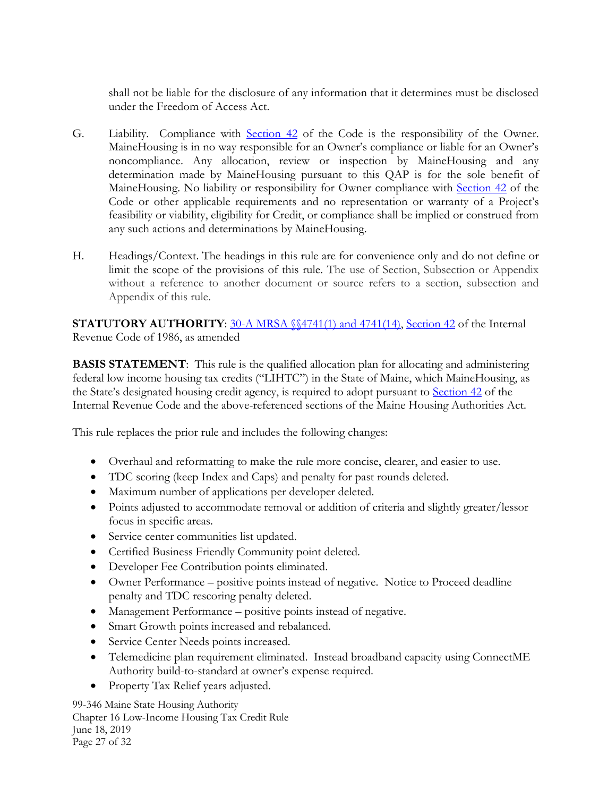shall not be liable for the disclosure of any information that it determines must be disclosed under the Freedom of Access Act.

- G. Liability. Compliance with [Section 42](https://www.law.cornell.edu/uscode/text/26/42) of the Code is the responsibility of the Owner. MaineHousing is in no way responsible for an Owner's compliance or liable for an Owner's noncompliance. Any allocation, review or inspection by MaineHousing and any determination made by MaineHousing pursuant to this QAP is for the sole benefit of MaineHousing. No liability or responsibility for Owner compliance with [Section 42](https://www.law.cornell.edu/uscode/text/26/42) of the Code or other applicable requirements and no representation or warranty of a Project's feasibility or viability, eligibility for Credit, or compliance shall be implied or construed from any such actions and determinations by MaineHousing.
- H. Headings/Context. The headings in this rule are for convenience only and do not define or limit the scope of the provisions of this rule. The use of Section, Subsection or Appendix without a reference to another document or source refers to a section, subsection and Appendix of this rule.

<span id="page-28-0"></span>**STATUTORY AUTHORITY:** [30-A MRSA §§4741\(1\) and 4741\(14\),](http://legislature.maine.gov/statutes/30-A/title30-Asec4741.html) [Section 42](https://www.law.cornell.edu/uscode/text/26/42) of the Internal Revenue Code of 1986, as amended

<span id="page-28-1"></span>**BASIS STATEMENT:** This rule is the qualified allocation plan for allocating and administering federal low income housing tax credits ("LIHTC") in the State of Maine, which MaineHousing, as the State's designated housing credit agency, is required to adopt pursuant to [Section 42](https://www.law.cornell.edu/uscode/text/26/42) of the Internal Revenue Code and the above-referenced sections of the Maine Housing Authorities Act.

This rule replaces the prior rule and includes the following changes:

- Overhaul and reformatting to make the rule more concise, clearer, and easier to use.
- TDC scoring (keep Index and Caps) and penalty for past rounds deleted.
- Maximum number of applications per developer deleted.
- Points adjusted to accommodate removal or addition of criteria and slightly greater/lessor focus in specific areas.
- Service center communities list updated.
- Certified Business Friendly Community point deleted.
- Developer Fee Contribution points eliminated.
- Owner Performance positive points instead of negative. Notice to Proceed deadline penalty and TDC rescoring penalty deleted.
- Management Performance positive points instead of negative.
- Smart Growth points increased and rebalanced.
- Service Center Needs points increased.
- Telemedicine plan requirement eliminated. Instead broadband capacity using ConnectME Authority build-to-standard at owner's expense required.
- Property Tax Relief years adjusted.

99-346 Maine State Housing Authority Chapter 16 Low-Income Housing Tax Credit Rule June 18, 2019 Page 27 of 32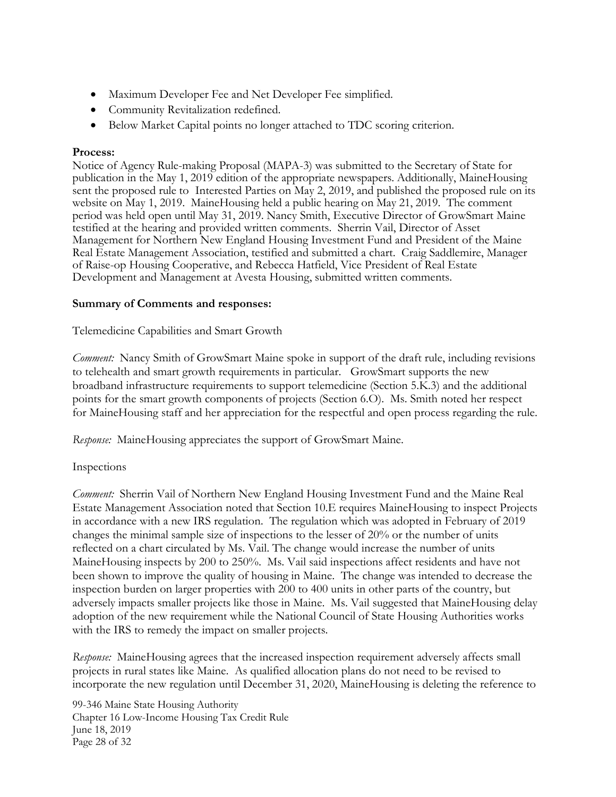- Maximum Developer Fee and Net Developer Fee simplified.
- Community Revitalization redefined.
- Below Market Capital points no longer attached to TDC scoring criterion.

### **Process:**

Notice of Agency Rule-making Proposal (MAPA-3) was submitted to the Secretary of State for publication in the May 1, 2019 edition of the appropriate newspapers. Additionally, MaineHousing sent the proposed rule to Interested Parties on May 2, 2019, and published the proposed rule on its website on May 1, 2019. MaineHousing held a public hearing on May 21, 2019. The comment period was held open until May 31, 2019. Nancy Smith, Executive Director of GrowSmart Maine testified at the hearing and provided written comments. Sherrin Vail, Director of Asset Management for Northern New England Housing Investment Fund and President of the Maine Real Estate Management Association, testified and submitted a chart. Craig Saddlemire, Manager of Raise-op Housing Cooperative, and Rebecca Hatfield, Vice President of Real Estate Development and Management at Avesta Housing, submitted written comments.

### **Summary of Comments and responses:**

Telemedicine Capabilities and Smart Growth

*Comment:* Nancy Smith of GrowSmart Maine spoke in support of the draft rule, including revisions to telehealth and smart growth requirements in particular. GrowSmart supports the new broadband infrastructure requirements to support telemedicine (Section 5.K.3) and the additional points for the smart growth components of projects (Section 6.O). Ms. Smith noted her respect for MaineHousing staff and her appreciation for the respectful and open process regarding the rule.

*Response:* MaineHousing appreciates the support of GrowSmart Maine.

### Inspections

*Comment:* Sherrin Vail of Northern New England Housing Investment Fund and the Maine Real Estate Management Association noted that Section 10.E requires MaineHousing to inspect Projects in accordance with a new IRS regulation. The regulation which was adopted in February of 2019 changes the minimal sample size of inspections to the lesser of 20% or the number of units reflected on a chart circulated by Ms. Vail. The change would increase the number of units MaineHousing inspects by 200 to 250%. Ms. Vail said inspections affect residents and have not been shown to improve the quality of housing in Maine. The change was intended to decrease the inspection burden on larger properties with 200 to 400 units in other parts of the country, but adversely impacts smaller projects like those in Maine. Ms. Vail suggested that MaineHousing delay adoption of the new requirement while the National Council of State Housing Authorities works with the IRS to remedy the impact on smaller projects.

*Response:* MaineHousing agrees that the increased inspection requirement adversely affects small projects in rural states like Maine. As qualified allocation plans do not need to be revised to incorporate the new regulation until December 31, 2020, MaineHousing is deleting the reference to

99-346 Maine State Housing Authority Chapter 16 Low-Income Housing Tax Credit Rule June 18, 2019 Page 28 of 32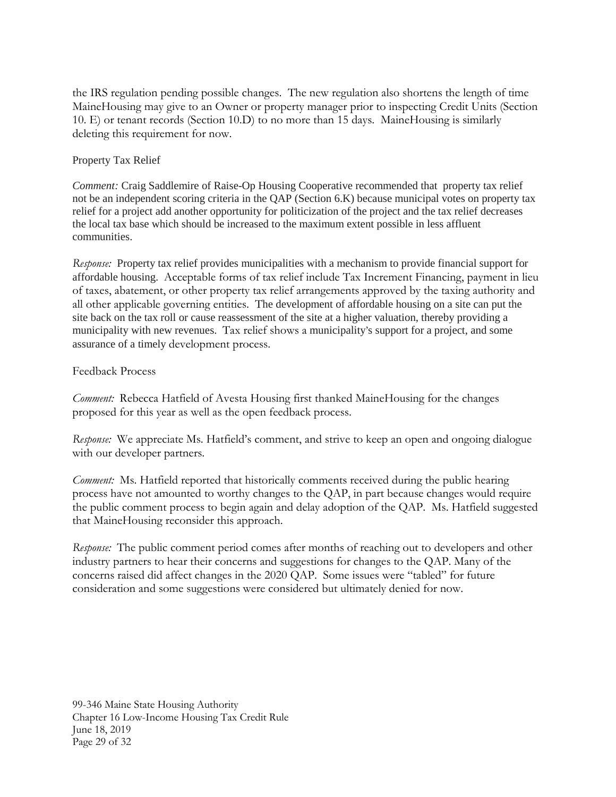the IRS regulation pending possible changes. The new regulation also shortens the length of time MaineHousing may give to an Owner or property manager prior to inspecting Credit Units (Section 10. E) or tenant records (Section 10.D) to no more than 15 days. MaineHousing is similarly deleting this requirement for now.

### Property Tax Relief

*Comment:* Craig Saddlemire of Raise-Op Housing Cooperative recommended that property tax relief not be an independent scoring criteria in the QAP (Section 6.K) because municipal votes on property tax relief for a project add another opportunity for politicization of the project and the tax relief decreases the local tax base which should be increased to the maximum extent possible in less affluent communities.

*Response:* Property tax relief provides municipalities with a mechanism to provide financial support for affordable housing. Acceptable forms of tax relief include Tax Increment Financing, payment in lieu of taxes, abatement, or other property tax relief arrangements approved by the taxing authority and all other applicable governing entities. The development of affordable housing on a site can put the site back on the tax roll or cause reassessment of the site at a higher valuation, thereby providing a municipality with new revenues. Tax relief shows a municipality's support for a project, and some assurance of a timely development process.

### Feedback Process

*Comment:* Rebecca Hatfield of Avesta Housing first thanked MaineHousing for the changes proposed for this year as well as the open feedback process.

*Response:* We appreciate Ms. Hatfield's comment, and strive to keep an open and ongoing dialogue with our developer partners.

*Comment:* Ms. Hatfield reported that historically comments received during the public hearing process have not amounted to worthy changes to the QAP, in part because changes would require the public comment process to begin again and delay adoption of the QAP. Ms. Hatfield suggested that MaineHousing reconsider this approach.

*Response:* The public comment period comes after months of reaching out to developers and other industry partners to hear their concerns and suggestions for changes to the QAP. Many of the concerns raised did affect changes in the 2020 QAP. Some issues were "tabled" for future consideration and some suggestions were considered but ultimately denied for now.

99-346 Maine State Housing Authority Chapter 16 Low-Income Housing Tax Credit Rule June 18, 2019 Page 29 of 32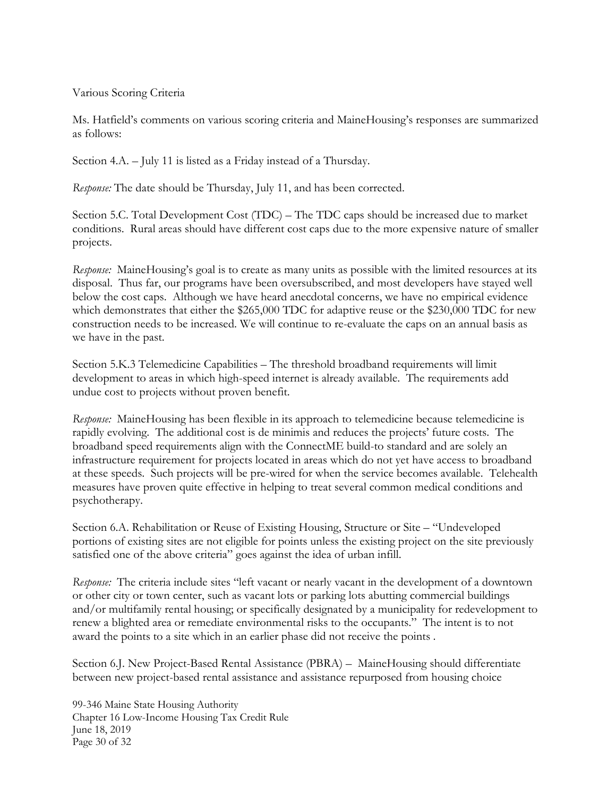### Various Scoring Criteria

Ms. Hatfield's comments on various scoring criteria and MaineHousing's responses are summarized as follows:

Section 4.A. – July 11 is listed as a Friday instead of a Thursday.

*Response:* The date should be Thursday, July 11, and has been corrected.

Section 5.C. Total Development Cost (TDC) – The TDC caps should be increased due to market conditions. Rural areas should have different cost caps due to the more expensive nature of smaller projects.

*Response:* MaineHousing's goal is to create as many units as possible with the limited resources at its disposal. Thus far, our programs have been oversubscribed, and most developers have stayed well below the cost caps. Although we have heard anecdotal concerns, we have no empirical evidence which demonstrates that either the \$265,000 TDC for adaptive reuse or the \$230,000 TDC for new construction needs to be increased. We will continue to re-evaluate the caps on an annual basis as we have in the past.

Section 5.K.3 Telemedicine Capabilities – The threshold broadband requirements will limit development to areas in which high-speed internet is already available. The requirements add undue cost to projects without proven benefit.

*Response:* MaineHousing has been flexible in its approach to telemedicine because telemedicine is rapidly evolving. The additional cost is de minimis and reduces the projects' future costs. The broadband speed requirements align with the ConnectME build-to standard and are solely an infrastructure requirement for projects located in areas which do not yet have access to broadband at these speeds. Such projects will be pre-wired for when the service becomes available. Telehealth measures have proven quite effective in helping to treat several common medical conditions and psychotherapy.

Section 6.A. Rehabilitation or Reuse of Existing Housing, Structure or Site – "Undeveloped portions of existing sites are not eligible for points unless the existing project on the site previously satisfied one of the above criteria" goes against the idea of urban infill.

*Response:* The criteria include sites "left vacant or nearly vacant in the development of a downtown or other city or town center, such as vacant lots or parking lots abutting commercial buildings and/or multifamily rental housing; or specifically designated by a municipality for redevelopment to renew a blighted area or remediate environmental risks to the occupants." The intent is to not award the points to a site which in an earlier phase did not receive the points .

Section 6.J. New Project-Based Rental Assistance (PBRA) – MaineHousing should differentiate between new project-based rental assistance and assistance repurposed from housing choice

99-346 Maine State Housing Authority Chapter 16 Low-Income Housing Tax Credit Rule June 18, 2019 Page 30 of 32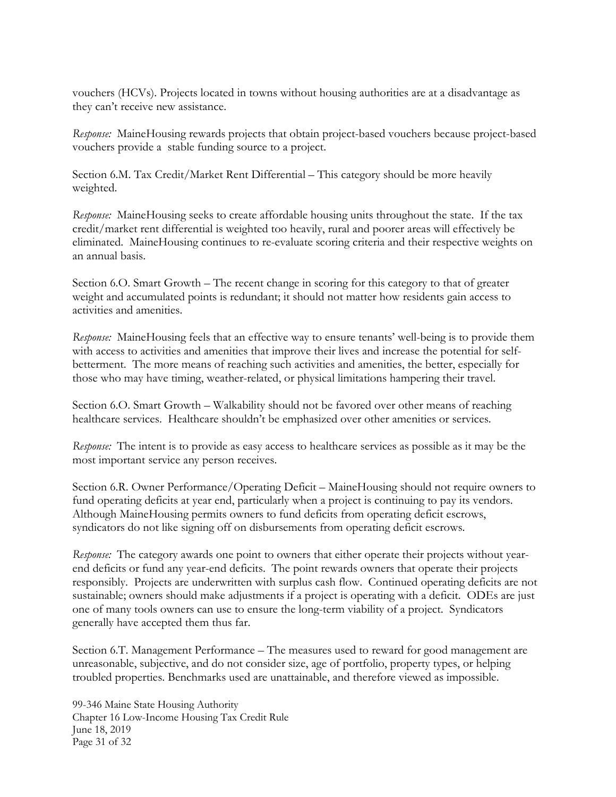vouchers (HCVs). Projects located in towns without housing authorities are at a disadvantage as they can't receive new assistance.

*Response:* MaineHousing rewards projects that obtain project-based vouchers because project-based vouchers provide a stable funding source to a project.

Section 6.M. Tax Credit/Market Rent Differential – This category should be more heavily weighted.

*Response:* MaineHousing seeks to create affordable housing units throughout the state. If the tax credit/market rent differential is weighted too heavily, rural and poorer areas will effectively be eliminated. MaineHousing continues to re-evaluate scoring criteria and their respective weights on an annual basis.

Section 6.O. Smart Growth – The recent change in scoring for this category to that of greater weight and accumulated points is redundant; it should not matter how residents gain access to activities and amenities.

*Response:* MaineHousing feels that an effective way to ensure tenants' well-being is to provide them with access to activities and amenities that improve their lives and increase the potential for selfbetterment. The more means of reaching such activities and amenities, the better, especially for those who may have timing, weather-related, or physical limitations hampering their travel.

Section 6.O. Smart Growth – Walkability should not be favored over other means of reaching healthcare services. Healthcare shouldn't be emphasized over other amenities or services.

*Response:* The intent is to provide as easy access to healthcare services as possible as it may be the most important service any person receives.

Section 6.R. Owner Performance/Operating Deficit – MaineHousing should not require owners to fund operating deficits at year end, particularly when a project is continuing to pay its vendors. Although MaineHousing permits owners to fund deficits from operating deficit escrows, syndicators do not like signing off on disbursements from operating deficit escrows.

*Response:* The category awards one point to owners that either operate their projects without yearend deficits or fund any year-end deficits. The point rewards owners that operate their projects responsibly. Projects are underwritten with surplus cash flow. Continued operating deficits are not sustainable; owners should make adjustments if a project is operating with a deficit. ODEs are just one of many tools owners can use to ensure the long-term viability of a project. Syndicators generally have accepted them thus far.

Section 6.T. Management Performance – The measures used to reward for good management are unreasonable, subjective, and do not consider size, age of portfolio, property types, or helping troubled properties. Benchmarks used are unattainable, and therefore viewed as impossible.

99-346 Maine State Housing Authority Chapter 16 Low-Income Housing Tax Credit Rule June 18, 2019 Page 31 of 32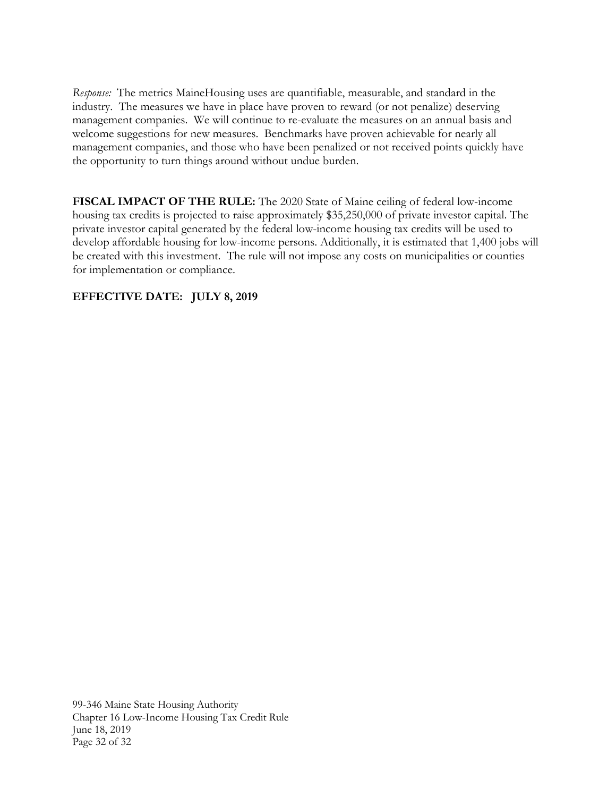*Response:* The metrics MaineHousing uses are quantifiable, measurable, and standard in the industry. The measures we have in place have proven to reward (or not penalize) deserving management companies. We will continue to re-evaluate the measures on an annual basis and welcome suggestions for new measures. Benchmarks have proven achievable for nearly all management companies, and those who have been penalized or not received points quickly have the opportunity to turn things around without undue burden.

<span id="page-33-0"></span>**FISCAL IMPACT OF THE RULE:** The 2020 State of Maine ceiling of federal low-income housing tax credits is projected to raise approximately \$35,250,000 of private investor capital. The private investor capital generated by the federal low-income housing tax credits will be used to develop affordable housing for low-income persons. Additionally, it is estimated that 1,400 jobs will be created with this investment. The rule will not impose any costs on municipalities or counties for implementation or compliance.

# **EFFECTIVE DATE: JULY 8, 2019**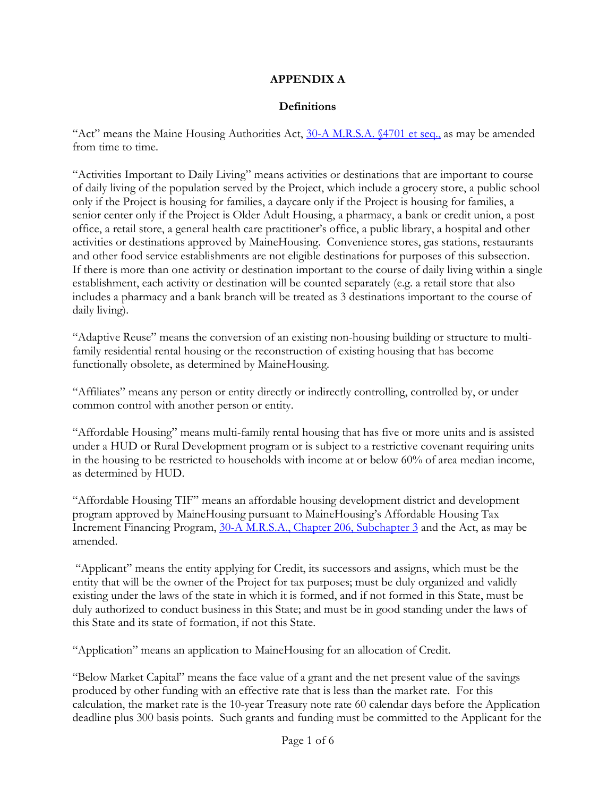# **APPENDIX A**

# **Definitions**

"Act" means the Maine Housing Authorities Act, [30-A M.R.S.A. §4701 et seq.,](https://legislature.maine.gov/statutes/30-A/title30-Ach201sec0.html) as may be amended from time to time.

"Activities Important to Daily Living" means activities or destinations that are important to course of daily living of the population served by the Project, which include a grocery store, a public school only if the Project is housing for families, a daycare only if the Project is housing for families, a senior center only if the Project is Older Adult Housing, a pharmacy, a bank or credit union, a post office, a retail store, a general health care practitioner's office, a public library, a hospital and other activities or destinations approved by MaineHousing. Convenience stores, gas stations, restaurants and other food service establishments are not eligible destinations for purposes of this subsection. If there is more than one activity or destination important to the course of daily living within a single establishment, each activity or destination will be counted separately (e.g. a retail store that also includes a pharmacy and a bank branch will be treated as 3 destinations important to the course of daily living).

"Adaptive Reuse" means the conversion of an existing non-housing building or structure to multifamily residential rental housing or the reconstruction of existing housing that has become functionally obsolete, as determined by MaineHousing.

"Affiliates" means any person or entity directly or indirectly controlling, controlled by, or under common control with another person or entity.

"Affordable Housing" means multi-family rental housing that has five or more units and is assisted under a HUD or Rural Development program or is subject to a restrictive covenant requiring units in the housing to be restricted to households with income at or below 60% of area median income, as determined by HUD.

"Affordable Housing TIF" means an affordable housing development district and development program approved by MaineHousing pursuant to MaineHousing's Affordable Housing Tax Increment Financing Program, 30-A [M.R.S.A., Chapter 206, Subchapter 3](http://legislature.maine.gov/legis/statutes/30-A/title30-Ach206sec0.html) and the Act, as may be amended.

"Applicant" means the entity applying for Credit, its successors and assigns, which must be the entity that will be the owner of the Project for tax purposes; must be duly organized and validly existing under the laws of the state in which it is formed, and if not formed in this State, must be duly authorized to conduct business in this State; and must be in good standing under the laws of this State and its state of formation, if not this State.

"Application" means an application to MaineHousing for an allocation of Credit.

"Below Market Capital" means the face value of a grant and the net present value of the savings produced by other funding with an effective rate that is less than the market rate. For this calculation, the market rate is the 10-year Treasury note rate 60 calendar days before the Application deadline plus 300 basis points. Such grants and funding must be committed to the Applicant for the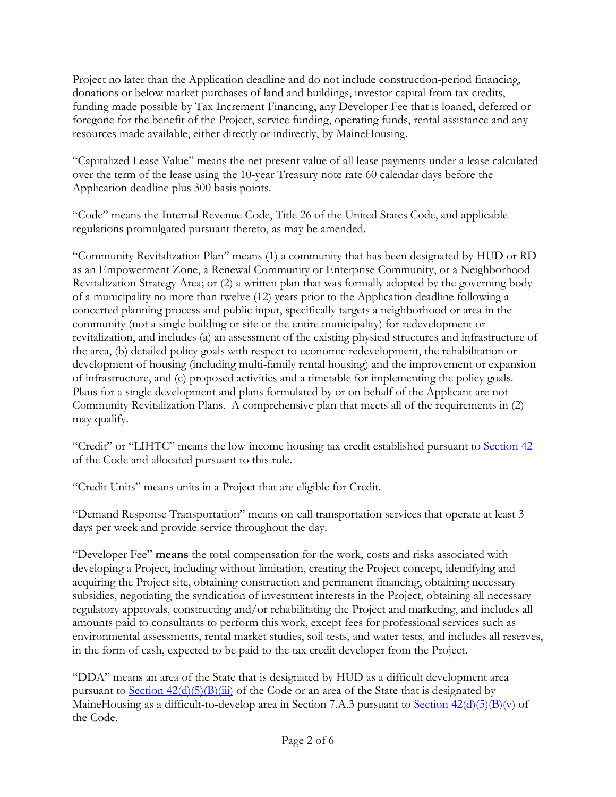Project no later than the Application deadline and do not include construction-period financing, donations or below market purchases of land and buildings, investor capital from tax credits, funding made possible by Tax Increment Financing, any Developer Fee that is loaned, deferred or foregone for the benefit of the Project, service funding, operating funds, rental assistance and any resources made available, either directly or indirectly, by MaineHousing.

"Capitalized Lease Value" means the net present value of all lease payments under a lease calculated over the term of the lease using the 10-year Treasury note rate 60 calendar days before the Application deadline plus 300 basis points.

"Code" means the Internal Revenue Code, Title 26 of the United States Code, and applicable regulations promulgated pursuant thereto, as may be amended.

"Community Revitalization Plan" means (1) a community that has been designated by HUD or RD as an Empowerment Zone, a Renewal Community or Enterprise Community, or a Neighborhood Revitalization Strategy Area; or (2) a written plan that was formally adopted by the governing body of a municipality no more than twelve (12) years prior to the Application deadline following a concerted planning process and public input, specifically targets a neighborhood or area in the community (not a single building or site or the entire municipality) for redevelopment or revitalization, and includes (a) an assessment of the existing physical structures and infrastructure of the area, (b) detailed policy goals with respect to economic redevelopment, the rehabilitation or development of housing (including multi-family rental housing) and the improvement or expansion of infrastructure, and (c) proposed activities and a timetable for implementing the policy goals. Plans for a single development and plans formulated by or on behalf of the Applicant are not Community Revitalization Plans. A comprehensive plan that meets all of the requirements in (2) may qualify.

"Credit" or "LIHTC" means the low-income housing tax credit established pursuant to [Section 42](https://www.law.cornell.edu/uscode/text/26/42) of the Code and allocated pursuant to this rule.

"Credit Units" means units in a Project that are eligible for Credit.

"Demand Response Transportation" means on-call transportation services that operate at least 3 days per week and provide service throughout the day.

"Developer Fee" **means** the total compensation for the work, costs and risks associated with developing a Project, including without limitation, creating the Project concept, identifying and acquiring the Project site, obtaining construction and permanent financing, obtaining necessary subsidies, negotiating the syndication of investment interests in the Project, obtaining all necessary regulatory approvals, constructing and/or rehabilitating the Project and marketing, and includes all amounts paid to consultants to perform this work, except fees for professional services such as environmental assessments, rental market studies, soil tests, and water tests, and includes all reserves, in the form of cash, expected to be paid to the tax credit developer from the Project.

"DDA" means an area of the State that is designated by HUD as a difficult development area pursuant to Section  $42(d)(5)(B)(iii)$  of the Code or an area of the State that is designated by MaineHousing as a difficult-to-develop area in Section 7.A.3 pursuant to Section  $42(d)(5)(B)(v)$  of the Code.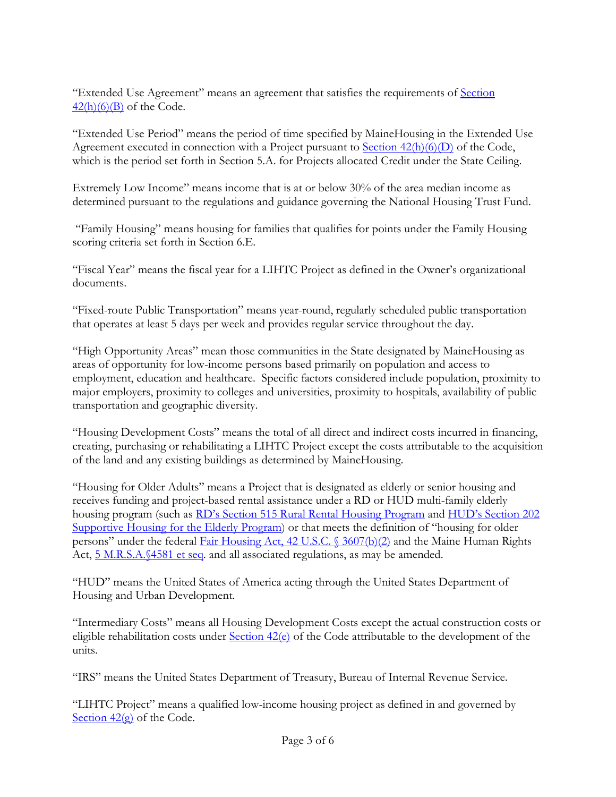"Extended Use Agreement" means an agreement that satisfies the requirements of [Section](https://www.law.cornell.edu/uscode/text/26/42)   $42(h)(6)(B)$  of the Code.

"Extended Use Period" means the period of time specified by MaineHousing in the Extended Use Agreement executed in connection with a Project pursuant to Section  $42(h)(6)$  of the Code, which is the period set forth in Section 5.A. for Projects allocated Credit under the State Ceiling.

Extremely Low Income" means income that is at or below 30% of the area median income as determined pursuant to the regulations and guidance governing the National Housing Trust Fund.

"Family Housing" means housing for families that qualifies for points under the Family Housing scoring criteria set forth in Section 6.E.

"Fiscal Year" means the fiscal year for a LIHTC Project as defined in the Owner's organizational documents.

"Fixed-route Public Transportation" means year-round, regularly scheduled public transportation that operates at least 5 days per week and provides regular service throughout the day.

"High Opportunity Areas" mean those communities in the State designated by MaineHousing as areas of opportunity for low-income persons based primarily on population and access to employment, education and healthcare. Specific factors considered include population, proximity to major employers, proximity to colleges and universities, proximity to hospitals, availability of public transportation and geographic diversity.

"Housing Development Costs" means the total of all direct and indirect costs incurred in financing, creating, purchasing or rehabilitating a LIHTC Project except the costs attributable to the acquisition of the land and any existing buildings as determined by MaineHousing.

"Housing for Older Adults" means a Project that is designated as elderly or senior housing and receives funding and project-based rental assistance under a RD or HUD multi-family elderly housing program (such as [RD's Section 515 Rural Rental Housing Program](http://ruralhousingcoalition.org/section-515-rural-rental-housing-loans/) and HUD's Section 202 [Supportive Housing for the Elderly Program\)](https://www.hud.gov/program_offices/housing/mfh/progdesc/eld202) or that meets the definition of "housing for older persons" under the federal [Fair Housing Act, 42 U.S.C. § 3607\(b\)\(2\)](https://www.law.cornell.edu/uscode/text/42/3607) and the Maine Human Rights Act, [5 M.R.S.A.§4581 et seq.](https://legislature.maine.gov/legis/statutes/5/title5sec4581-A.html) and all associated regulations, as may be amended.

"HUD" means the United States of America acting through the United States Department of Housing and Urban Development.

"Intermediary Costs" means all Housing Development Costs except the actual construction costs or eligible rehabilitation costs under [Section 42\(e\)](https://www.law.cornell.edu/uscode/text/26/42) of the Code attributable to the development of the units.

"IRS" means the United States Department of Treasury, Bureau of Internal Revenue Service.

"LIHTC Project" means a qualified low-income housing project as defined in and governed by Section  $42\text{(g)}$  of the Code.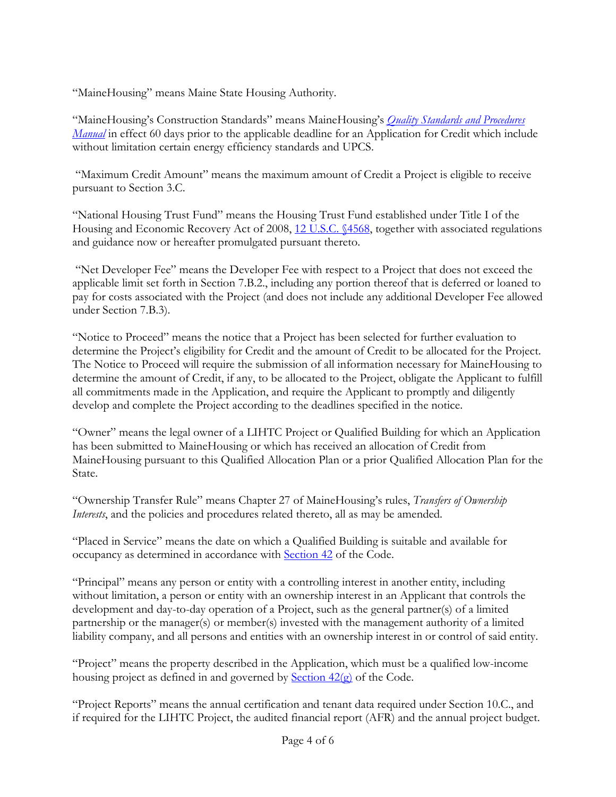"MaineHousing" means Maine State Housing Authority.

"MaineHousing's Construction Standards" means MaineHousing's *[Quality Standards and Procedures](http://www.mainehousing.org/docs/default-source/development/2019-quality-standards-procedures-manual.pdf?sfvrsn=b31db415_6)  [Manual](http://www.mainehousing.org/docs/default-source/development/2019-quality-standards-procedures-manual.pdf?sfvrsn=b31db415_6)* in effect 60 days prior to the applicable deadline for an Application for Credit which include without limitation certain energy efficiency standards and UPCS.

"Maximum Credit Amount" means the maximum amount of Credit a Project is eligible to receive pursuant to Section 3.C.

"National Housing Trust Fund" means the Housing Trust Fund established under Title I of the Housing and Economic Recovery Act of 2008, [12 U.S.C. §4568,](https://www.law.cornell.edu/uscode/text/12/4568) together with associated regulations and guidance now or hereafter promulgated pursuant thereto.

"Net Developer Fee" means the Developer Fee with respect to a Project that does not exceed the applicable limit set forth in Section 7.B.2., including any portion thereof that is deferred or loaned to pay for costs associated with the Project (and does not include any additional Developer Fee allowed under Section 7.B.3).

"Notice to Proceed" means the notice that a Project has been selected for further evaluation to determine the Project's eligibility for Credit and the amount of Credit to be allocated for the Project. The Notice to Proceed will require the submission of all information necessary for MaineHousing to determine the amount of Credit, if any, to be allocated to the Project, obligate the Applicant to fulfill all commitments made in the Application, and require the Applicant to promptly and diligently develop and complete the Project according to the deadlines specified in the notice.

"Owner" means the legal owner of a LIHTC Project or Qualified Building for which an Application has been submitted to MaineHousing or which has received an allocation of Credit from MaineHousing pursuant to this Qualified Allocation Plan or a prior Qualified Allocation Plan for the State.

"Ownership Transfer Rule" means Chapter 27 of MaineHousing's rules, *Transfers of Ownership Interests*, and the policies and procedures related thereto, all as may be amended.

"Placed in Service" means the date on which a Qualified Building is suitable and available for occupancy as determined in accordance with [Section 42](https://www.law.cornell.edu/uscode/text/26/42) of the Code.

"Principal" means any person or entity with a controlling interest in another entity, including without limitation, a person or entity with an ownership interest in an Applicant that controls the development and day-to-day operation of a Project, such as the general partner(s) of a limited partnership or the manager(s) or member(s) invested with the management authority of a limited liability company, and all persons and entities with an ownership interest in or control of said entity.

"Project" means the property described in the Application, which must be a qualified low-income housing project as defined in and governed by [Section 42\(g\)](https://www.law.cornell.edu/uscode/text/26/42) of the Code.

"Project Reports" means the annual certification and tenant data required under Section 10.C., and if required for the LIHTC Project, the audited financial report (AFR) and the annual project budget.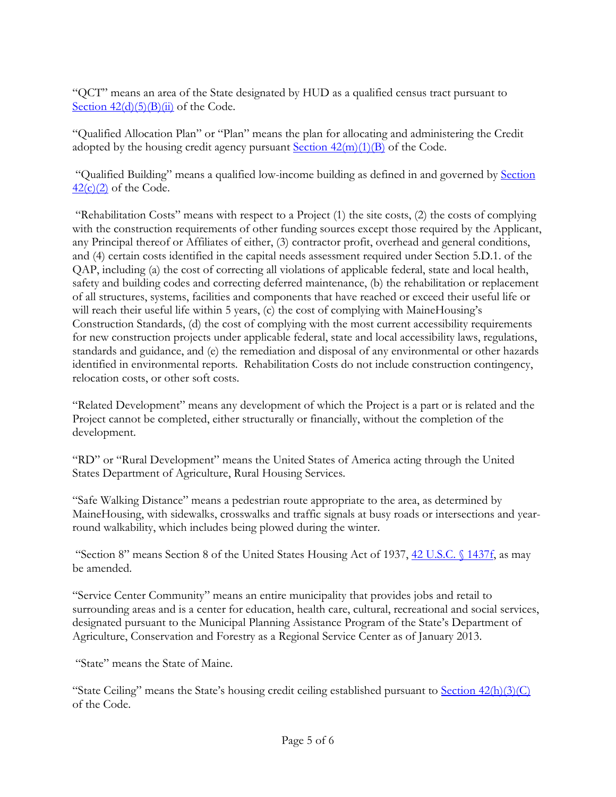"QCT" means an area of the State designated by HUD as a qualified census tract pursuant to Section  $42(d)(5)(B)(ii)$  of the Code.

"Qualified Allocation Plan" or "Plan" means the plan for allocating and administering the Credit adopted by the housing credit agency pursuant  $Section 42(m)(1)(B)$  of the Code.

"Qualified Building" means a qualified low-income building as defined in and governed by [Section](https://www.law.cornell.edu/uscode/text/26/42)   $42(c)(2)$  of the Code.

"Rehabilitation Costs" means with respect to a Project (1) the site costs, (2) the costs of complying with the construction requirements of other funding sources except those required by the Applicant, any Principal thereof or Affiliates of either, (3) contractor profit, overhead and general conditions, and (4) certain costs identified in the capital needs assessment required under Section 5.D.1. of the QAP, including (a) the cost of correcting all violations of applicable federal, state and local health, safety and building codes and correcting deferred maintenance, (b) the rehabilitation or replacement of all structures, systems, facilities and components that have reached or exceed their useful life or will reach their useful life within 5 years, (c) the cost of complying with MaineHousing's Construction Standards, (d) the cost of complying with the most current accessibility requirements for new construction projects under applicable federal, state and local accessibility laws, regulations, standards and guidance, and (e) the remediation and disposal of any environmental or other hazards identified in environmental reports. Rehabilitation Costs do not include construction contingency, relocation costs, or other soft costs.

"Related Development" means any development of which the Project is a part or is related and the Project cannot be completed, either structurally or financially, without the completion of the development.

"RD" or "Rural Development" means the United States of America acting through the United States Department of Agriculture, Rural Housing Services.

"Safe Walking Distance" means a pedestrian route appropriate to the area, as determined by MaineHousing, with sidewalks, crosswalks and traffic signals at busy roads or intersections and yearround walkability, which includes being plowed during the winter.

"Section 8" means Section 8 of the United States Housing Act of 1937, [42 U.S.C. § 1437f,](https://www.law.cornell.edu/uscode/text/42/1437f) as may be amended.

"Service Center Community" means an entire municipality that provides jobs and retail to surrounding areas and is a center for education, health care, cultural, recreational and social services, designated pursuant to the Municipal Planning Assistance Program of the State's Department of Agriculture, Conservation and Forestry as a Regional Service Center as of January 2013.

"State" means the State of Maine.

"State Ceiling" means the State's housing credit ceiling established pursuant to Section  $42(h)(3)(C)$ of the Code.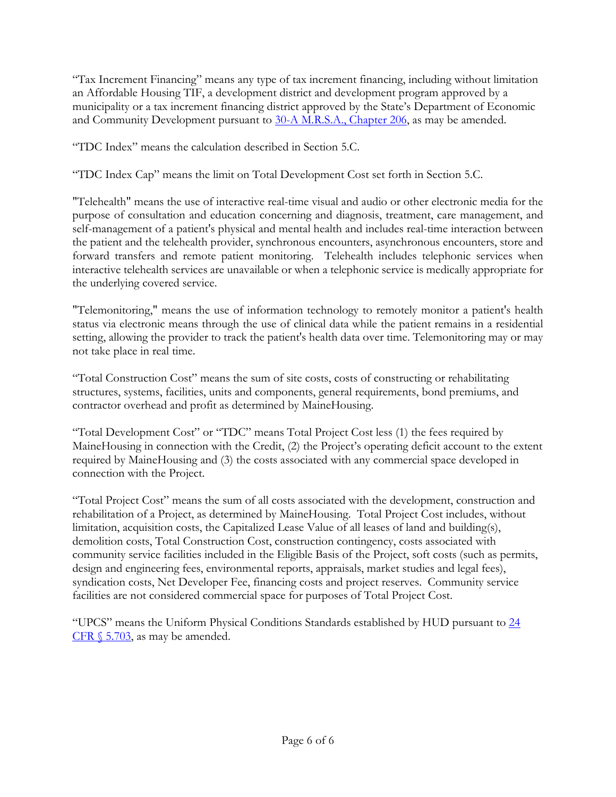"Tax Increment Financing" means any type of tax increment financing, including without limitation an Affordable Housing TIF, a development district and development program approved by a municipality or a tax increment financing district approved by the State's Department of Economic and Community Development pursuant to [30-A M.R.S.A., Chapter 206,](http://legislature.maine.gov/legis/statutes/30-A/title30-Ach206sec0.html) as may be amended.

"TDC Index" means the calculation described in Section 5.C.

"TDC Index Cap" means the limit on Total Development Cost set forth in Section 5.C.

"Telehealth" means the use of interactive real-time visual and audio or other electronic media for the purpose of consultation and education concerning and diagnosis, treatment, care management, and self-management of a patient's physical and mental health and includes real-time interaction between the patient and the telehealth provider, synchronous encounters, asynchronous encounters, store and forward transfers and remote patient monitoring. Telehealth includes telephonic services when interactive telehealth services are unavailable or when a telephonic service is medically appropriate for the underlying covered service.

"Telemonitoring," means the use of information technology to remotely monitor a patient's health status via electronic means through the use of clinical data while the patient remains in a residential setting, allowing the provider to track the patient's health data over time. Telemonitoring may or may not take place in real time.

"Total Construction Cost" means the sum of site costs, costs of constructing or rehabilitating structures, systems, facilities, units and components, general requirements, bond premiums, and contractor overhead and profit as determined by MaineHousing.

"Total Development Cost" or "TDC" means Total Project Cost less (1) the fees required by MaineHousing in connection with the Credit, (2) the Project's operating deficit account to the extent required by MaineHousing and (3) the costs associated with any commercial space developed in connection with the Project.

"Total Project Cost" means the sum of all costs associated with the development, construction and rehabilitation of a Project, as determined by MaineHousing. Total Project Cost includes, without limitation, acquisition costs, the Capitalized Lease Value of all leases of land and building(s), demolition costs, Total Construction Cost, construction contingency, costs associated with community service facilities included in the Eligible Basis of the Project, soft costs (such as permits, design and engineering fees, environmental reports, appraisals, market studies and legal fees), syndication costs, Net Developer Fee, financing costs and project reserves. Community service facilities are not considered commercial space for purposes of Total Project Cost.

"UPCS" means the Uniform Physical Conditions Standards established by HUD pursuant to [24](https://www.law.cornell.edu/cfr/text/24/5.703)  CFR  $\S$  5.703, as may be amended.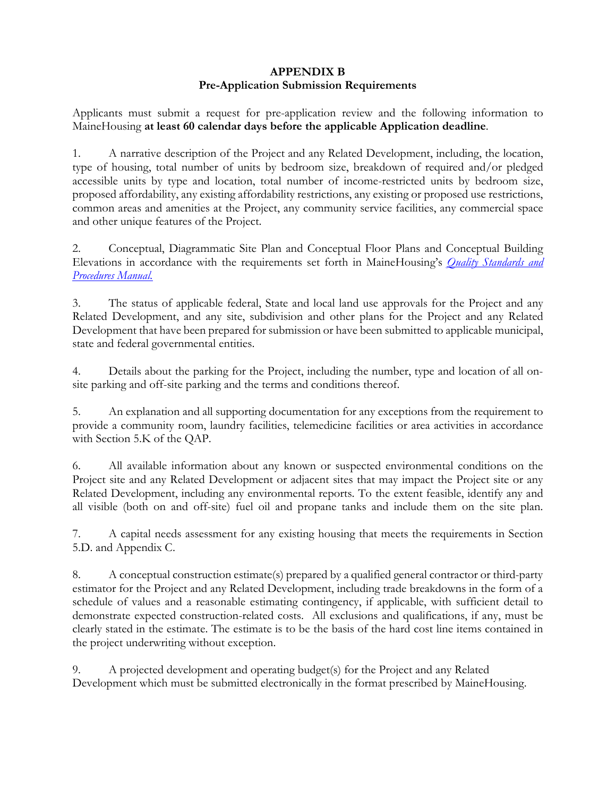# **APPENDIX B Pre-Application Submission Requirements**

Applicants must submit a request for pre-application review and the following information to MaineHousing **at least 60 calendar days before the applicable Application deadline**.

1. A narrative description of the Project and any Related Development, including, the location, type of housing, total number of units by bedroom size, breakdown of required and/or pledged accessible units by type and location, total number of income-restricted units by bedroom size, proposed affordability, any existing affordability restrictions, any existing or proposed use restrictions, common areas and amenities at the Project, any community service facilities, any commercial space and other unique features of the Project.

2. Conceptual, Diagrammatic Site Plan and Conceptual Floor Plans and Conceptual Building Elevations in accordance with the requirements set forth in MaineHousing's *[Quality Standards and](http://www.mainehousing.org/docs/default-source/development/2019-quality-standards-procedures-manual.pdf?sfvrsn=b31db415_6)  [Procedures Manual.](http://www.mainehousing.org/docs/default-source/development/2019-quality-standards-procedures-manual.pdf?sfvrsn=b31db415_6)*

3. The status of applicable federal, State and local land use approvals for the Project and any Related Development, and any site, subdivision and other plans for the Project and any Related Development that have been prepared for submission or have been submitted to applicable municipal, state and federal governmental entities.

4. Details about the parking for the Project, including the number, type and location of all onsite parking and off-site parking and the terms and conditions thereof.

5. An explanation and all supporting documentation for any exceptions from the requirement to provide a community room, laundry facilities, telemedicine facilities or area activities in accordance with Section 5.K of the QAP.

6. All available information about any known or suspected environmental conditions on the Project site and any Related Development or adjacent sites that may impact the Project site or any Related Development, including any environmental reports. To the extent feasible, identify any and all visible (both on and off-site) fuel oil and propane tanks and include them on the site plan.

7. A capital needs assessment for any existing housing that meets the requirements in Section 5.D. and Appendix C.

8. A conceptual construction estimate(s) prepared by a qualified general contractor or third-party estimator for the Project and any Related Development, including trade breakdowns in the form of a schedule of values and a reasonable estimating contingency, if applicable, with sufficient detail to demonstrate expected construction-related costs. All exclusions and qualifications, if any, must be clearly stated in the estimate. The estimate is to be the basis of the hard cost line items contained in the project underwriting without exception.

9. A projected development and operating budget(s) for the Project and any Related Development which must be submitted electronically in the format prescribed by MaineHousing.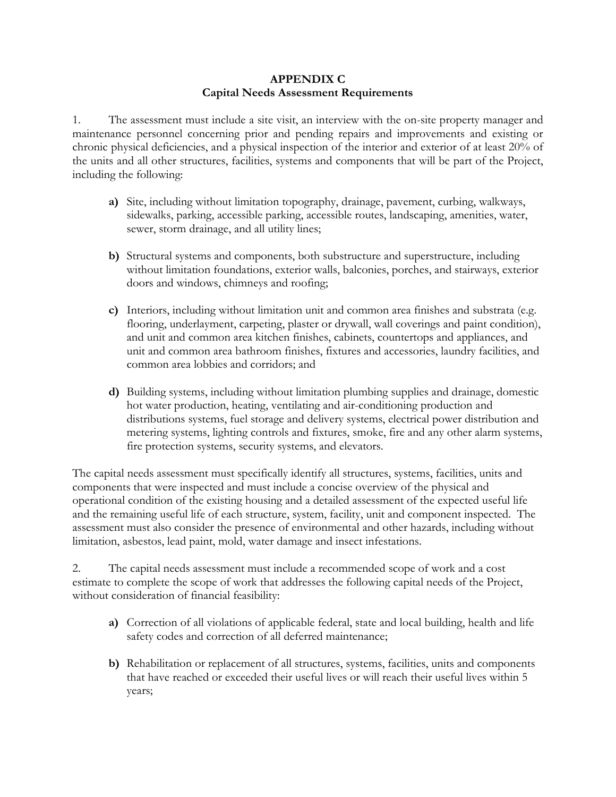### **APPENDIX C Capital Needs Assessment Requirements**

1. The assessment must include a site visit, an interview with the on-site property manager and maintenance personnel concerning prior and pending repairs and improvements and existing or chronic physical deficiencies, and a physical inspection of the interior and exterior of at least 20% of the units and all other structures, facilities, systems and components that will be part of the Project, including the following:

- **a)** Site, including without limitation topography, drainage, pavement, curbing, walkways, sidewalks, parking, accessible parking, accessible routes, landscaping, amenities, water, sewer, storm drainage, and all utility lines;
- **b)** Structural systems and components, both substructure and superstructure, including without limitation foundations, exterior walls, balconies, porches, and stairways, exterior doors and windows, chimneys and roofing;
- **c)** Interiors, including without limitation unit and common area finishes and substrata (e.g. flooring, underlayment, carpeting, plaster or drywall, wall coverings and paint condition), and unit and common area kitchen finishes, cabinets, countertops and appliances, and unit and common area bathroom finishes, fixtures and accessories, laundry facilities, and common area lobbies and corridors; and
- **d)** Building systems, including without limitation plumbing supplies and drainage, domestic hot water production, heating, ventilating and air-conditioning production and distributions systems, fuel storage and delivery systems, electrical power distribution and metering systems, lighting controls and fixtures, smoke, fire and any other alarm systems, fire protection systems, security systems, and elevators.

The capital needs assessment must specifically identify all structures, systems, facilities, units and components that were inspected and must include a concise overview of the physical and operational condition of the existing housing and a detailed assessment of the expected useful life and the remaining useful life of each structure, system, facility, unit and component inspected. The assessment must also consider the presence of environmental and other hazards, including without limitation, asbestos, lead paint, mold, water damage and insect infestations.

2. The capital needs assessment must include a recommended scope of work and a cost estimate to complete the scope of work that addresses the following capital needs of the Project, without consideration of financial feasibility:

- **a)** Correction of all violations of applicable federal, state and local building, health and life safety codes and correction of all deferred maintenance;
- **b)** Rehabilitation or replacement of all structures, systems, facilities, units and components that have reached or exceeded their useful lives or will reach their useful lives within 5 years;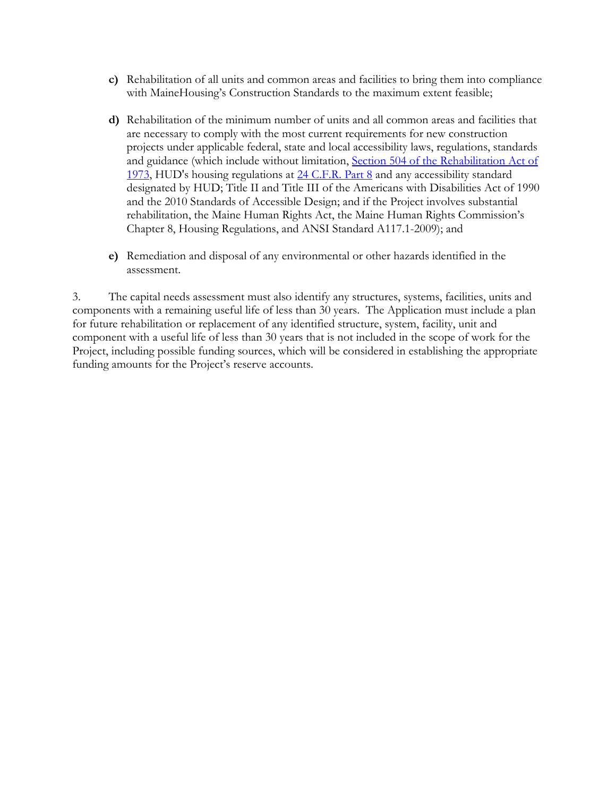- **c)** Rehabilitation of all units and common areas and facilities to bring them into compliance with MaineHousing's Construction Standards to the maximum extent feasible;
- **d)** Rehabilitation of the minimum number of units and all common areas and facilities that are necessary to comply with the most current requirements for new construction projects under applicable federal, state and local accessibility laws, regulations, standards and guidance (which include without limitation, Section 504 of the Rehabilitation Act of [1973,](https://dredf.org/legal-advocacy/laws/section-504-of-the-rehabilitation-act-of-1973/) HUD's housing regulations at [24 C.F.R. Part 8](https://www.law.cornell.edu/cfr/text/24/part-8) and any accessibility standard designated by HUD; Title II and Title III of the Americans with Disabilities Act of 1990 and the 2010 Standards of Accessible Design; and if the Project involves substantial rehabilitation, the Maine Human Rights Act, the Maine Human Rights Commission's Chapter 8, Housing Regulations, and ANSI Standard A117.1-2009); and
- **e)** Remediation and disposal of any environmental or other hazards identified in the assessment.

3. The capital needs assessment must also identify any structures, systems, facilities, units and components with a remaining useful life of less than 30 years. The Application must include a plan for future rehabilitation or replacement of any identified structure, system, facility, unit and component with a useful life of less than 30 years that is not included in the scope of work for the Project, including possible funding sources, which will be considered in establishing the appropriate funding amounts for the Project's reserve accounts.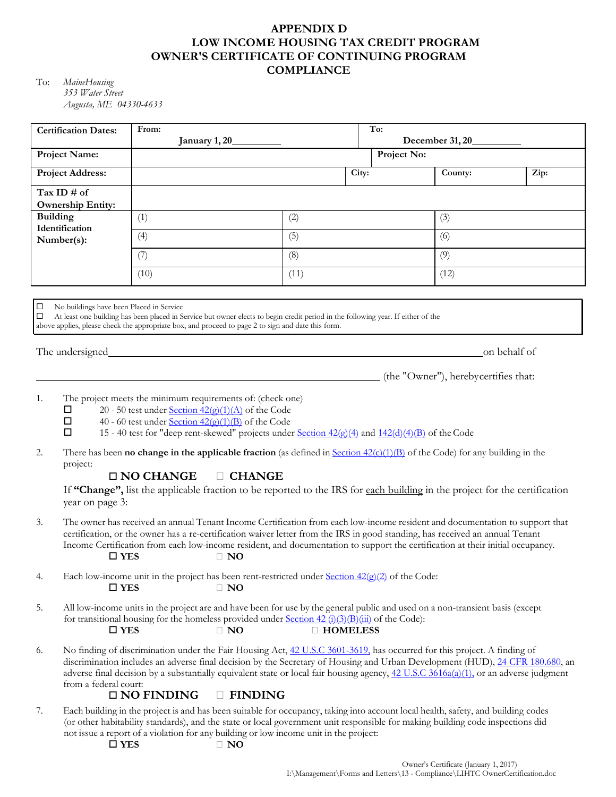# **APPENDIX D LOW INCOME HOUSING TAX CREDIT PROGRAM OWNER'S CERTIFICATE OF CONTINUING PROGRAM COMPLIANCE**

To: *MaineHousing 353 Water Street Augusta, ME 04330-4633*

|                 | <b>Certification Dates:</b>                                                                                                                                                                                                                                                                                                                                                                                                                                                                                                                                                                                                                 | From:<br>January 1, 20_                                                                                                                                                                                                                                                                                                                                                                                                                                                 |  |      | To:<br>December 31, 20 |             |                                      |              |  |
|-----------------|---------------------------------------------------------------------------------------------------------------------------------------------------------------------------------------------------------------------------------------------------------------------------------------------------------------------------------------------------------------------------------------------------------------------------------------------------------------------------------------------------------------------------------------------------------------------------------------------------------------------------------------------|-------------------------------------------------------------------------------------------------------------------------------------------------------------------------------------------------------------------------------------------------------------------------------------------------------------------------------------------------------------------------------------------------------------------------------------------------------------------------|--|------|------------------------|-------------|--------------------------------------|--------------|--|
|                 | <b>Project Name:</b>                                                                                                                                                                                                                                                                                                                                                                                                                                                                                                                                                                                                                        |                                                                                                                                                                                                                                                                                                                                                                                                                                                                         |  |      |                        | Project No: |                                      |              |  |
|                 | <b>Project Address:</b>                                                                                                                                                                                                                                                                                                                                                                                                                                                                                                                                                                                                                     |                                                                                                                                                                                                                                                                                                                                                                                                                                                                         |  |      | City:                  |             | County:                              | Zip:         |  |
|                 | Tax ID # of                                                                                                                                                                                                                                                                                                                                                                                                                                                                                                                                                                                                                                 |                                                                                                                                                                                                                                                                                                                                                                                                                                                                         |  |      |                        |             |                                      |              |  |
| <b>Building</b> | <b>Ownership Entity:</b>                                                                                                                                                                                                                                                                                                                                                                                                                                                                                                                                                                                                                    | (1)                                                                                                                                                                                                                                                                                                                                                                                                                                                                     |  | (2)  |                        |             | (3)                                  |              |  |
|                 | Identification<br>Number(s):                                                                                                                                                                                                                                                                                                                                                                                                                                                                                                                                                                                                                | (4)                                                                                                                                                                                                                                                                                                                                                                                                                                                                     |  | (5)  |                        |             | (6)                                  |              |  |
|                 |                                                                                                                                                                                                                                                                                                                                                                                                                                                                                                                                                                                                                                             | (7)                                                                                                                                                                                                                                                                                                                                                                                                                                                                     |  | (8)  |                        |             | (9)                                  |              |  |
|                 |                                                                                                                                                                                                                                                                                                                                                                                                                                                                                                                                                                                                                                             | (10)                                                                                                                                                                                                                                                                                                                                                                                                                                                                    |  | (11) |                        |             | (12)                                 |              |  |
| □<br>□          | No buildings have been Placed in Service                                                                                                                                                                                                                                                                                                                                                                                                                                                                                                                                                                                                    | At least one building has been placed in Service but owner elects to begin credit period in the following year. If either of the<br>above applies, please check the appropriate box, and proceed to page 2 to sign and date this form.                                                                                                                                                                                                                                  |  |      |                        |             |                                      |              |  |
|                 | The undersigned                                                                                                                                                                                                                                                                                                                                                                                                                                                                                                                                                                                                                             |                                                                                                                                                                                                                                                                                                                                                                                                                                                                         |  |      |                        |             |                                      | on behalf of |  |
|                 |                                                                                                                                                                                                                                                                                                                                                                                                                                                                                                                                                                                                                                             |                                                                                                                                                                                                                                                                                                                                                                                                                                                                         |  |      |                        |             | (the "Owner"), herebycertifies that: |              |  |
| 1.<br>2.        | The project meets the minimum requirements of: (check one)<br>20 - 50 test under Section $42(g)(1)(A)$ of the Code<br>□<br>40 - 60 test under Section $42(g)(1)(B)$ of the Code<br>□<br>□<br>15 - 40 test for "deep rent-skewed" projects under Section $42(g)(4)$ and $142(g)(4)(B)$ of the Code<br>There has been <b>no change in the applicable fraction</b> (as defined in Section $42(c)(1)(B)$ of the Code) for any building in the<br>project:<br>$\Box$ NO CHANGE<br>$\Box$ CHANGE<br>If "Change", list the applicable fraction to be reported to the IRS for each building in the project for the certification<br>year on page 3: |                                                                                                                                                                                                                                                                                                                                                                                                                                                                         |  |      |                        |             |                                      |              |  |
| 3.              | The owner has received an annual Tenant Income Certification from each low-income resident and documentation to support that<br>certification, or the owner has a re-certification waiver letter from the IRS in good standing, has received an annual Tenant<br>Income Certification from each low-income resident, and documentation to support the certification at their initial occupancy.<br>$\square$ YES<br>$\Box$ NO                                                                                                                                                                                                               |                                                                                                                                                                                                                                                                                                                                                                                                                                                                         |  |      |                        |             |                                      |              |  |
| 4.              | Each low-income unit in the project has been rent-restricted under Section $42(g)(2)$ of the Code:<br>$\square$ YES<br>$\Box$ NO                                                                                                                                                                                                                                                                                                                                                                                                                                                                                                            |                                                                                                                                                                                                                                                                                                                                                                                                                                                                         |  |      |                        |             |                                      |              |  |
| 5.              | All low-income units in the project are and have been for use by the general public and used on a non-transient basis (except<br>for transitional housing for the homeless provided under Section $42 \frac{(\hat{\mathbf{i}})(3)(\mathbf{B})(\hat{\mathbf{iii}})}{(\hat{\mathbf{i}})(\hat{\mathbf{j}})(\hat{\mathbf{m}})}$ of the Code):<br>$\square$ YES<br><b>D</b> HOMELESS<br>$\Box$ NO                                                                                                                                                                                                                                                |                                                                                                                                                                                                                                                                                                                                                                                                                                                                         |  |      |                        |             |                                      |              |  |
| 6.              |                                                                                                                                                                                                                                                                                                                                                                                                                                                                                                                                                                                                                                             | No finding of discrimination under the Fair Housing Act, 42 U.S.C 3601-3619, has occurred for this project. A finding of<br>discrimination includes an adverse final decision by the Secretary of Housing and Urban Development (HUD), 24 CFR 180.680, an<br>adverse final decision by a substantially equivalent state or local fair housing agency, 42 U.S.C 3616a(a)(1), or an adverse judgment<br>from a federal court:<br><b>E</b> FINDING<br>$\square$ NO FINDING |  |      |                        |             |                                      |              |  |
| 7.              | Each building in the project is and has been suitable for occupancy, taking into account local health, safety, and building codes<br>(or other habitability standards), and the state or local government unit responsible for making building code inspections did<br>not issue a report of a violation for any building or low income unit in the project:<br>$\square$ YES<br>$\Box$ NO                                                                                                                                                                                                                                                  |                                                                                                                                                                                                                                                                                                                                                                                                                                                                         |  |      |                        |             |                                      |              |  |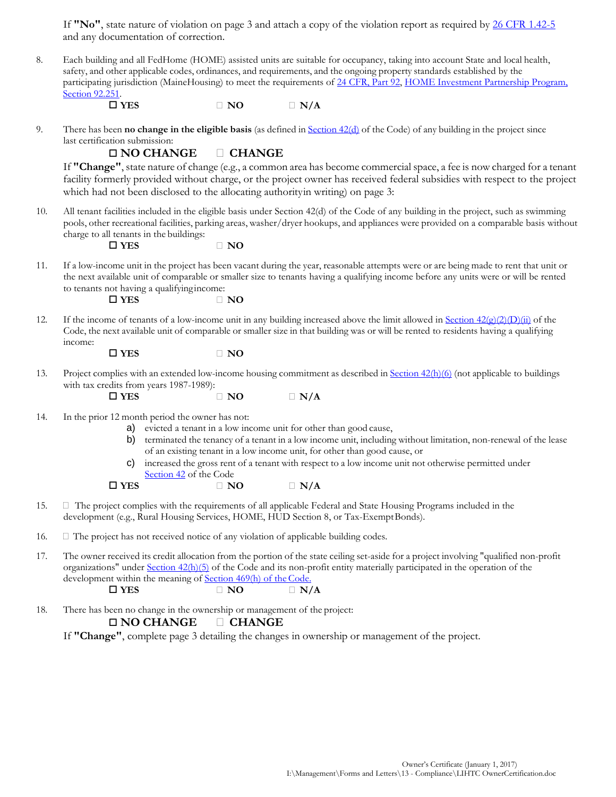If **"No"**, state nature of violation on page 3 and attach a copy of the violation report as required by [26 CFR 1.42-5](https://www.law.cornell.edu/cfr/text/26/1.42-5) and any documentation of correction.

| ŏ. | Each building and all FedHome (HOME) assisted units are suitable for occupancy, taking into account State and local health, |
|----|-----------------------------------------------------------------------------------------------------------------------------|
|    | safety, and other applicable codes, ordinances, and requirements, and the ongoing property standards established by the     |
|    | participating jurisdiction (MaineHousing) to meet the requirements of 24 CFR, Part 92, HOME Investment Partnership Program, |
|    | Section 92.251.                                                                                                             |
|    |                                                                                                                             |

 $\Box$  YES  $\Box$  NO  $\Box$  N/A

9. There has been **no change in the eligible basis** (as defined in [Section](https://www.law.cornell.edu/uscode/text/26/42) 42(d) of the Code) of any building in the project since last certification submission:

### **NO CHANGE CHANGE**

If **"Change"**, state nature of change (e.g., a common area has become commercial space, a fee is now charged for a tenant facility formerly provided without charge, or the project owner has received federal subsidies with respect to the project which had not been disclosed to the allocating authority in writing) on page 3:

10. All tenant facilities included in the eligible basis under Section 42(d) of the Code of any building in the project, such as swimming pools, other recreational facilities, parking areas, washer/dryer hookups, and appliances were provided on a comparable basis without charge to all tenants in the buildings:

 $\Box$  YES  $\Box$  NO

11. If a low-income unit in the project has been vacant during the year, reasonable attempts were or are being made to rent that unit or the next available unit of comparable or smaller size to tenants having a qualifying income before any units were or will be rented to tenants not having a qualifyingincome:

 $\Box$  YES  $\Box$  NO

12. If the income of tenants of a low-income unit in any building increased above the limit allowed in Section  $42\frac{\epsilon}{2}$ (2)(D)(ii) of the Code, the next available unit of comparable or smaller size in that building was or will be rented to residents having a qualifying income:

 $\Box$  **YES**  $\Box$  NO

13. Project complies with an extended low-income housing commitment as described in Section [42\(h\)\(6\)](https://www.law.cornell.edu/uscode/text/26/42) (not applicable to buildings with tax credits from years 1987-1989):

 $\Box$  YES  $\Box$  NO  $\Box$  N/A

- 14. In the prior 12 month period the owner has not:
	- a) evicted a tenant in a low income unit for other than good cause,
	- b) terminated the tenancy of a tenant in a low income unit, including without limitation, non-renewal of the lease of an existing tenant in a low income unit, for other than good cause, or
	- c) increased the gross rent of a tenant with respect to a low income unit not otherwise permitted under [Section 42](https://www.law.cornell.edu/uscode/text/26/42) of the Code

 $\Box$  YES  $\Box$  NO  $\Box$  N/A

15.  $\Box$  The project complies with the requirements of all applicable Federal and State Housing Programs included in the development (e.g., Rural Housing Services, HOME, HUD Section 8, or Tax-ExemptBonds).

16.  $\Box$  The project has not received notice of any violation of applicable building codes.

17. The owner received its credit allocation from the portion of the state ceiling set-aside for a project involving "qualified non-profit organizations" under [Section 42\(h\)\(5\)](https://www.law.cornell.edu/uscode/text/26/42) of the Code and its non-profit entity materially participated in the operation of the development within the meaning of **Section 469(h)** of the Code.

 $\Box$  YES  $\Box$  NO  $\Box$  N/A

18. There has been no change in the ownership or management of the project:

### **NO CHANGE CHANGE**

If **"Change"**, complete page 3 detailing the changes in ownership or management of the project.